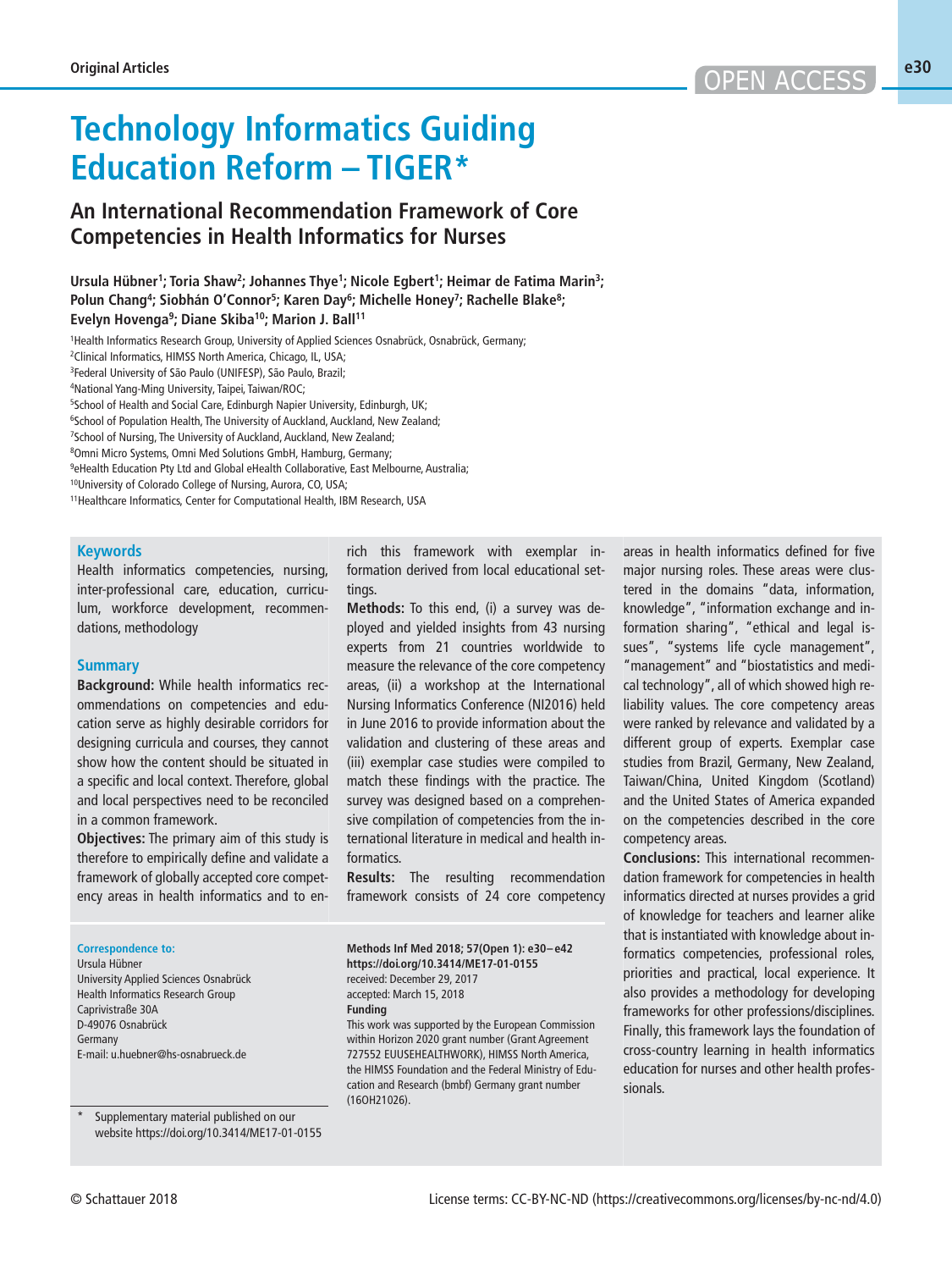# <span id="page-0-1"></span>**Technology Informatics Guiding Education Reform – TIGER[\\*](#page-0-0)**

## **An International Recommendation Framework of Core Competencies in Health Informatics for Nurses**

Ursula Hübner<sup>1</sup>; Toria Shaw<sup>2</sup>; Johannes Thye<sup>1</sup>; Nicole Egbert<sup>1</sup>; Heimar de Fatima Marin<sup>3</sup>; Polun Chang<sup>4</sup>; Siobhán O'Connor<sup>5</sup>; Karen Day<sup>6</sup>; Michelle Honey<sup>7</sup>; Rachelle Blake<sup>8</sup>; Evelyn Hovenga<sup>9</sup>; Diane Skiba<sup>10</sup>; Marion J. Ball<sup>11</sup>

1 Health Informatics Research Group, University of Applied Sciences Osnabrück, Osnabrück, Germany;

2 Clinical Informatics, HIMSS North America, Chicago, IL, USA;

3 Federal University of São Paulo (UNIFESP), São Paulo, Brazil;

4 National Yang-Ming University, Taipei, Taiwan/ROC;

5 School of Health and Social Care, Edinburgh Napier University, Edinburgh, UK;

<sup>6</sup>School of Population Health, The University of Auckland, Auckland, New Zealand;

7 School of Nursing, The University of Auckland, Auckland, New Zealand;

8 Omni Micro Systems, Omni Med Solutions GmbH, Hamburg, Germany;

<sup>9</sup>eHealth Education Pty Ltd and Global eHealth Collaborative, East Melbourne, Australia;

10University of Colorado College of Nursing, Aurora, CO, USA;

11Healthcare Informatics, Center for Computational Health, IBM Research, USA

#### **Keywords**

Health informatics competencies, nursing, inter-professional care, education, curriculum, workforce development, recommendations, methodology

#### **Summary**

**Background:** While health informatics recommendations on competencies and education serve as highly desirable corridors for designing curricula and courses, they cannot show how the content should be situated in a specific and local context. Therefore, global and local perspectives need to be reconciled in a common framework.

**Objectives:** The primary aim of this study is therefore to empirically define and validate a framework of globally accepted core competency areas in health informatics and to enrich this framework with exemplar information derived from local educational settings.

**Methods:** To this end, (i) a survey was deployed and yielded insights from 43 nursing experts from 21 countries worldwide to measure the relevance of the core competency areas, (ii) a workshop at the International Nursing Informatics Conference (NI2016) held in June 2016 to provide information about the validation and clustering of these areas and (iii) exemplar case studies were compiled to match these findings with the practice. The survey was designed based on a comprehensive compilation of competencies from the international literature in medical and health informatics.

**Results:** The resulting recommendation framework consists of 24 core competency

**Correspondence to:** Ursula Hübner University Applied Sciences Osnabrück Health Informatics Research Group Caprivistraße 30A D-49076 Osnabrück Germany E-mail: u.huebner@hs-osnabrueck.de

<span id="page-0-0"></span>Supplementary material published on our website https://doi.org/10.3414/ME17-01-0155 **Methods Inf Med 2018; 57(Open 1): e30 – e42 https://doi.org/10.3414/ME17-01-0155** received: December 29, 2017 accepted: March 15, 2018 **Funding** This work was supported by the European Commission within Horizon 2020 grant number (Grant Agreement

727552 EUUSEHEALTHWORK), HIMSS North America, the HIMSS Foundation and the Federal Ministry of Education and Research (bmbf) Germany grant number (16OH21026).

areas in health informatics defined for five major nursing roles. These areas were clustered in the domains "data, information, knowledge", "information exchange and information sharing", "ethical and legal issues", "systems life cycle management", "management" and "biostatistics and medical technology", all of which showed high reliability values. The core competency areas were ranked by relevance and validated by a different group of experts. Exemplar case studies from Brazil, Germany, New Zealand, Taiwan/China, United Kingdom (Scotland) and the United States of America expanded on the competencies described in the core competency areas.

**Conclusions:** This international recommendation framework for competencies in health informatics directed at nurses provides a grid of knowledge for teachers and learner alike that is instantiated with knowledge about informatics competencies, professional roles, priorities and practical, local experience. It also provides a methodology for developing frameworks for other professions/disciplines. Finally, this framework lays the foundation of cross-country learning in health informatics education for nurses and other health professionals.

OPEN ACCESS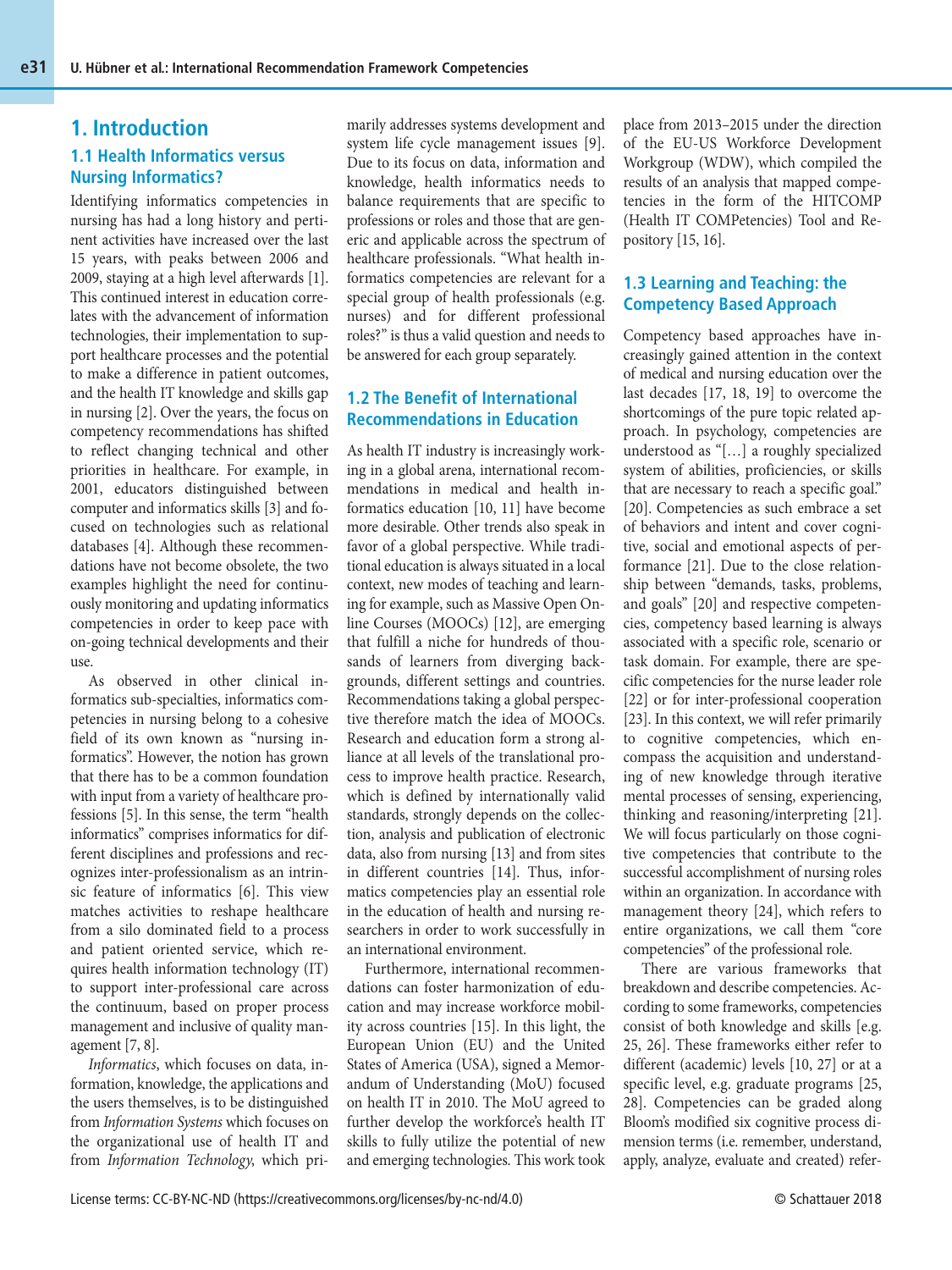## **1.1 Health Informatics versus Nursing Informatics?**

**1. Introduction** mails adeters systems event and the course of the intermediativity and the intermediative intermediative intermediative intermediative intermediative intermediative intermediative intermediative in the i Identifying informatics competencies in nursing has had a long history and pertinent activities have increased over the last 15 years, with peaks between 2006 and 2009, staying at a high level afterwards [1]. This continued interest in education correlates with the advancement of information technologies, their implementation to support healthcare processes and the potential to make a difference in patient outcomes, and the health IT knowledge and skills gap in nursing [2]. Over the years, the focus on competency recommendations has shifted to reflect changing technical and other priorities in healthcare. For example, in 2001, educators distinguished between computer and informatics skills [3] and focused on technologies such as relational databases [4]. Although these recommendations have not become obsolete, the two examples highlight the need for continuously monitoring and updating informatics competencies in order to keep pace with on-going technical developments and their use.

As observed in other clinical informatics sub-specialties, informatics competencies in nursing belong to a cohesive field of its own known as "nursing informatics". However, the notion has grown that there has to be a common foundation with input from a variety of healthcare professions [5]. In this sense, the term "health informatics" comprises informatics for different disciplines and professions and recognizes inter-professionalism as an intrinsic feature of informatics [6]. This view matches activities to reshape healthcare from a silo dominated field to a process and patient oriented service, which requires health information technology (IT) to support inter-professional care across the continuum, based on proper process management and inclusive of quality management [7, 8].

*Informatics*, which focuses on data, information, knowledge, the applications and the users themselves, is to be distinguished from *Information Systems* which focuses on the organizational use of health IT and from *Information Technology*, which primarily addresses systems development and system life cycle management issues [9]. Due to its focus on data, information and knowledge, health informatics needs to balance requirements that are specific to professions or roles and those that are generic and applicable across the spectrum of healthcare professionals. "What health informatics competencies are relevant for a special group of health professionals (e.g. nurses) and for different professional roles?" is thus a valid question and needs to be answered for each group separately.

## **1.2 The Benefit of International Recommendations in Education**

As health IT industry is increasingly working in a global arena, international recommendations in medical and health informatics education [10, 11] have become more desirable. Other trends also speak in favor of a global perspective. While traditional education is always situated in a local context, new modes of teaching and learning for example, such as Massive Open Online Courses (MOOCs) [12], are emerging that fulfill a niche for hundreds of thousands of learners from diverging backgrounds, different settings and countries. Recommendations taking a global perspective therefore match the idea of MOOCs. Research and education form a strong alliance at all levels of the translational process to improve health practice. Research, which is defined by internationally valid standards, strongly depends on the collection, analysis and publication of electronic data, also from nursing [13] and from sites in different countries [14]. Thus, informatics competencies play an essential role in the education of health and nursing researchers in order to work successfully in an international environment.

Furthermore, international recommendations can foster harmonization of education and may increase workforce mobility across countries [15]. In this light, the European Union (EU) and the United States of America (USA), signed a Memorandum of Understanding (MoU) focused on health IT in 2010. The MoU agreed to further develop the workforce's health IT skills to fully utilize the potential of new and emerging technologies. This work took place from 2013–2015 under the direction of the EU-US Workforce Development Workgroup (WDW), which compiled the results of an analysis that mapped competencies in the form of the HITCOMP (Health IT COMPetencies) Tool and Repository [15, 16].

## **1.3 Learning and Teaching: the Competency Based Approach**

Competency based approaches have increasingly gained attention in the context of medical and nursing education over the last decades [17, 18, 19] to overcome the shortcomings of the pure topic related approach. In psychology, competencies are understood as "[…] a roughly specialized system of abilities, proficiencies, or skills that are necessary to reach a specific goal." [20]. Competencies as such embrace a set of behaviors and intent and cover cognitive, social and emotional aspects of performance [21]. Due to the close relationship between "demands, tasks, problems, and goals" [20] and respective competencies, competency based learning is always associated with a specific role, scenario or task domain. For example, there are specific competencies for the nurse leader role [22] or for inter-professional cooperation [23]. In this context, we will refer primarily to cognitive competencies, which encompass the acquisition and understanding of new knowledge through iterative mental processes of sensing, experiencing, thinking and reasoning/interpreting [21]. We will focus particularly on those cognitive competencies that contribute to the successful accomplishment of nursing roles within an organization. In accordance with management theory [24], which refers to entire organizations, we call them "core competencies" of the professional role.

There are various frameworks that breakdown and describe competencies. According to some frameworks, competencies consist of both knowledge and skills [e.g. 25, 26]. These frameworks either refer to different (academic) levels [10, 27] or at a specific level, e.g. graduate programs [25, 28]. Competencies can be graded along Bloom's modified six cognitive process dimension terms (i.e. remember, understand, apply, analyze, evaluate and created) refer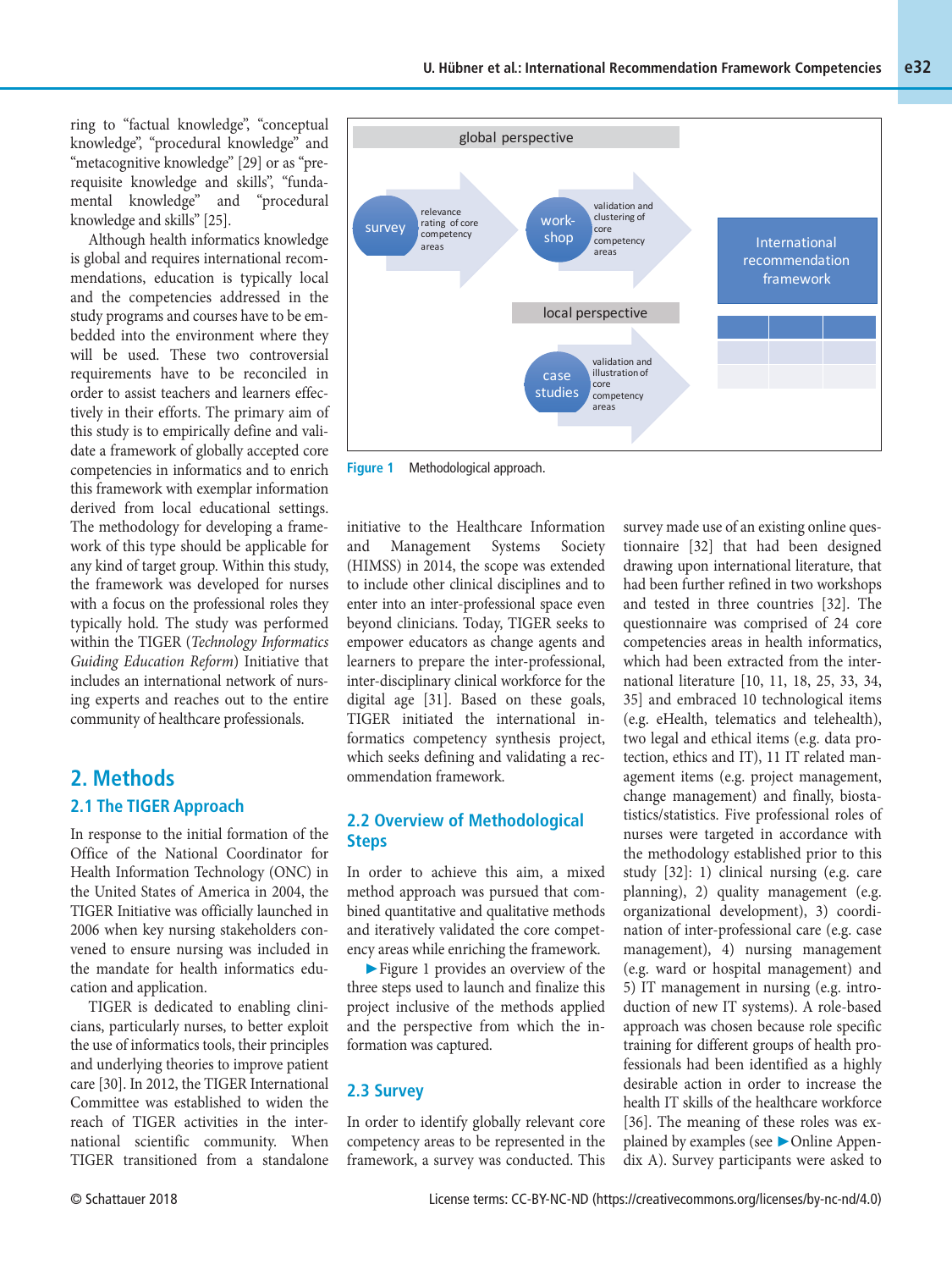ring to "factual knowledge", "conceptual knowledge", "procedural knowledge" and "metacognitive knowledge" [29] or as "prerequisite knowledge and skills", "fundamental knowledge" and "procedural knowledge and skills" [25].

Although health informatics knowledge is global and requires international recommendations, education is typically local and the competencies addressed in the study programs and courses have to be embedded into the environment where they will be used. These two controversial requirements have to be reconciled in order to assist teachers and learners effectively in their efforts. The primary aim of this study is to empirically define and validate a framework of globally accepted core competencies in informatics and to enrich this framework with exemplar information derived from local educational settings. The methodology for developing a framework of this type should be applicable for any kind of target group. Within this study, the framework was developed for nurses with a focus on the professional roles they typically hold. The study was performed within the TIGER (*Technology Informatics Guiding Education Reform*) Initiative that includes an international network of nursing experts and reaches out to the entire community of healthcare professionals.

## **2. Methods 2.1 The TIGER Approach**

In response to the initial formation of the Office of the National Coordinator for Health Information Technology (ONC) in the United States of America in 2004, the TIGER Initiative was officially launched in 2006 when key nursing stakeholders convened to ensure nursing was included in the mandate for health informatics education and application.

TIGER is dedicated to enabling clinicians, particularly nurses, to better exploit the use of informatics tools, their principles and underlying theories to improve patient care [30]. In 2012, the TIGER International Committee was established to widen the reach of TIGER activities in the international scientific community. When TIGER transitioned from a standalone



**Figure 1** Methodological approach.

initiative to the Healthcare Information and Management Systems Society (HIMSS) in 2014, the scope was extended to include other clinical disciplines and to enter into an inter-professional space even beyond clinicians. Today, TIGER seeks to empower educators as change agents and learners to prepare the inter-professional, inter-disciplinary clinical workforce for the digital age [31]. Based on these goals, TIGER initiated the international informatics competency synthesis project, which seeks defining and validating a recommendation framework.

## **2.2 Overview of Methodological Steps**

In order to achieve this aim, a mixed method approach was pursued that combined quantitative and qualitative methods and iteratively validated the core competency areas while enriching the framework.

▶ Figure 1 provides an overview of the three steps used to launch and finalize this project inclusive of the methods applied and the perspective from which the information was captured.

## **2.3 Survey**

In order to identify globally relevant core competency areas to be represented in the framework, a survey was conducted. This survey made use of an existing online questionnaire [32] that had been designed drawing upon international literature, that had been further refined in two workshops and tested in three countries [32]. The questionnaire was comprised of 24 core competencies areas in health informatics, which had been extracted from the international literature [10, 11, 18, 25, 33, 34, 35] and embraced 10 technological items (e.g. eHealth, telematics and telehealth), two legal and ethical items (e.g. data protection, ethics and IT), 11 IT related management items (e.g. project management, change management) and finally, biostatistics/statistics. Five professional roles of nurses were targeted in accordance with the methodology established prior to this study [32]: 1) clinical nursing (e.g. care planning), 2) quality management (e.g. organizational development), 3) coordination of inter-professional care (e.g. case management), 4) nursing management (e.g. ward or hospital management) and 5) IT management in nursing (e.g. introduction of new IT systems). A role-based approach was chosen because role specific training for different groups of health professionals had been identified as a highly desirable action in order to increase the health IT skills of the healthcare workforce [36]. The meaning of these roles was explained by examples (see ▶ Online Appendix A). Survey participants were asked to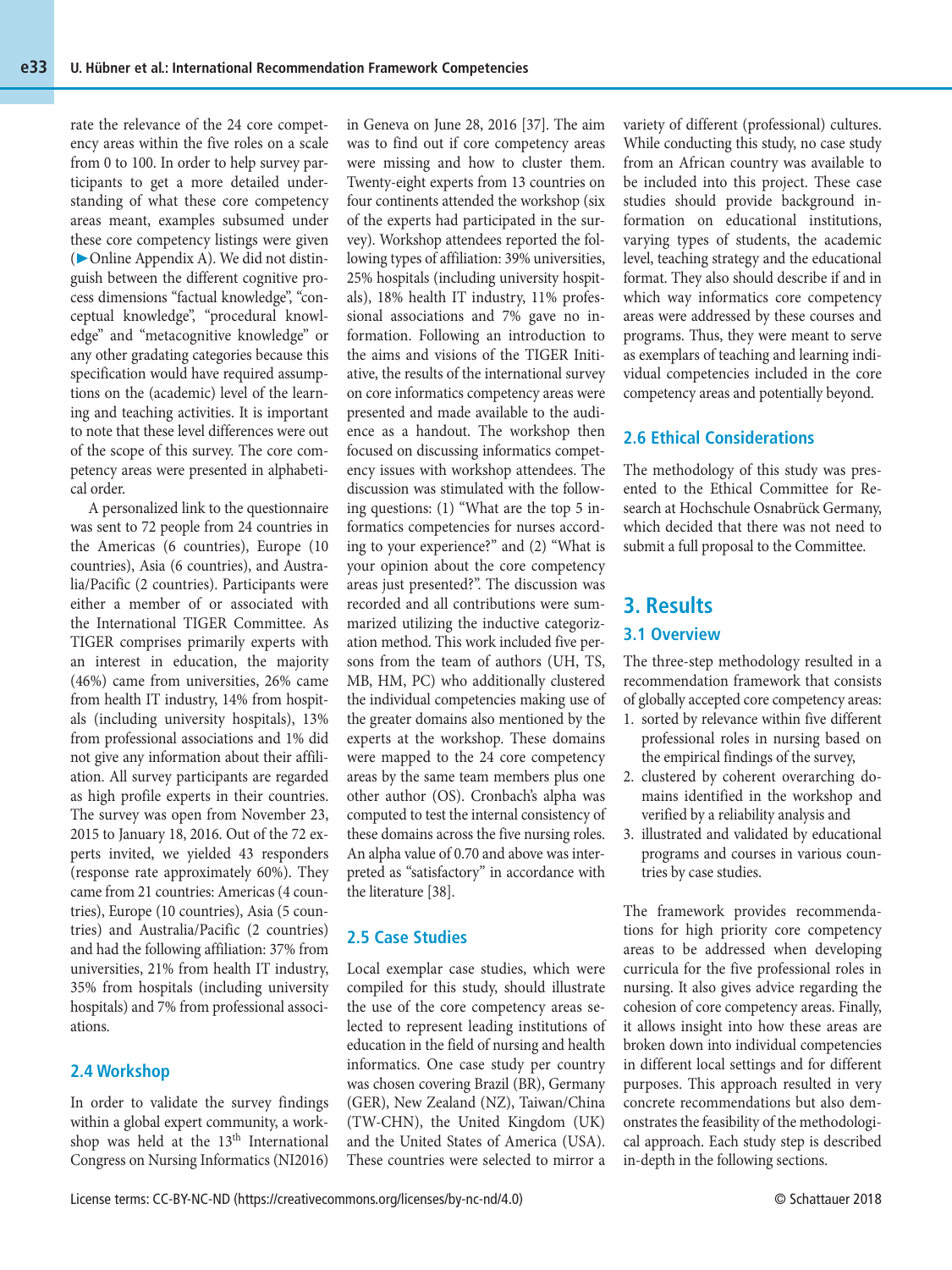ency areas within the five roles on a scale from 0 to 100. In order to help survey participants to get a more detailed understanding of what these core competency areas meant, examples subsumed under these core competency listings were given (▶ Online Appendix A). We did not distinguish between the different cognitive process dimensions "factual knowledge", "conceptual knowledge", "procedural knowledge" and "metacognitive knowledge" or any other gradating categories because this specification would have required assumptions on the (academic) level of the learning and teaching activities. It is important to note that these level differences were out of the scope of this survey. The core competency areas were presented in alphabetical order.

The the relevance of the 20 columnic 28. 2016 (for a core of the relevance on paral 28, 2016 (for a core of the core of the core of the core of the core of the angular of the angular of the angular of the angular states of A personalized link to the questionnaire was sent to 72 people from 24 countries in the Americas (6 countries), Europe (10 countries), Asia (6 countries), and Australia/Pacific (2 countries). Participants were either a member of or associated with the International TIGER Committee. As TIGER comprises primarily experts with an interest in education, the majority (46%) came from universities, 26% came from health IT industry, 14% from hospitals (including university hospitals), 13% from professional associations and 1% did not give any information about their affiliation. All survey participants are regarded as high profile experts in their countries. The survey was open from November 23, 2015 to January 18, 2016. Out of the 72 experts invited, we yielded 43 responders (response rate approximately 60%). They came from 21 countries: Americas (4 countries), Europe (10 countries), Asia (5 countries) and Australia/Pacific (2 countries) and had the following affiliation: 37% from universities, 21% from health IT industry, 35% from hospitals (including university hospitals) and 7% from professional associations.

## **2.4 Workshop**

In order to validate the survey findings within a global expert community, a workshop was held at the 13<sup>th</sup> International Congress on Nursing Informatics (NI2016) in Geneva on June 28, 2016 [37]. The aim was to find out if core competency areas were missing and how to cluster them. Twenty-eight experts from 13 countries on four continents attended the workshop (six of the experts had participated in the survey). Workshop attendees reported the following types of affiliation: 39% universities, 25% hospitals (including university hospitals), 18% health IT industry, 11% professional associations and 7% gave no information. Following an introduction to the aims and visions of the TIGER Initiative, the results of the international survey on core informatics competency areas were presented and made available to the audience as a handout. The workshop then focused on discussing informatics competency issues with workshop attendees. The discussion was stimulated with the following questions: (1) "What are the top 5 informatics competencies for nurses according to your experience?" and (2) "What is your opinion about the core competency areas just presented?". The discussion was recorded and all contributions were summarized utilizing the inductive categorization method. This work included five persons from the team of authors (UH, TS, MB, HM, PC) who additionally clustered the individual competencies making use of the greater domains also mentioned by the experts at the workshop. These domains were mapped to the 24 core competency areas by the same team members plus one other author (OS). Cronbach's alpha was computed to test the internal consistency of these domains across the five nursing roles. An alpha value of 0.70 and above was interpreted as "satisfactory" in accordance with the literature [38].

## **2.5 Case Studies**

Local exemplar case studies, which were compiled for this study, should illustrate the use of the core competency areas selected to represent leading institutions of education in the field of nursing and health informatics. One case study per country was chosen covering Brazil (BR), Germany (GER), New Zealand (NZ), Taiwan/China (TW-CHN), the United Kingdom (UK) and the United States of America (USA). These countries were selected to mirror a

variety of different (professional) cultures. While conducting this study, no case study from an African country was available to be included into this project. These case studies should provide background information on educational institutions, varying types of students, the academic level, teaching strategy and the educational format. They also should describe if and in which way informatics core competency areas were addressed by these courses and programs. Thus, they were meant to serve as exemplars of teaching and learning individual competencies included in the core competency areas and potentially beyond.

## **2.6 Ethical Considerations**

The methodology of this study was presented to the Ethical Committee for Research at Hochschule Osnabrück Germany, which decided that there was not need to submit a full proposal to the Committee.

## **3. Results 3.1 Overview**

The three-step methodology resulted in a recommendation framework that consists of globally accepted core competency areas:

- 1. sorted by relevance within five different professional roles in nursing based on the empirical findings of the survey,
- 2. clustered by coherent overarching domains identified in the workshop and verified by a reliability analysis and
- 3. illustrated and validated by educational programs and courses in various countries by case studies.

The framework provides recommendations for high priority core competency areas to be addressed when developing curricula for the five professional roles in nursing. It also gives advice regarding the cohesion of core competency areas. Finally, it allows insight into how these areas are broken down into individual competencies in different local settings and for different purposes. This approach resulted in very concrete recommendations but also demonstrates the feasibility of the methodological approach. Each study step is described in-depth in the following sections.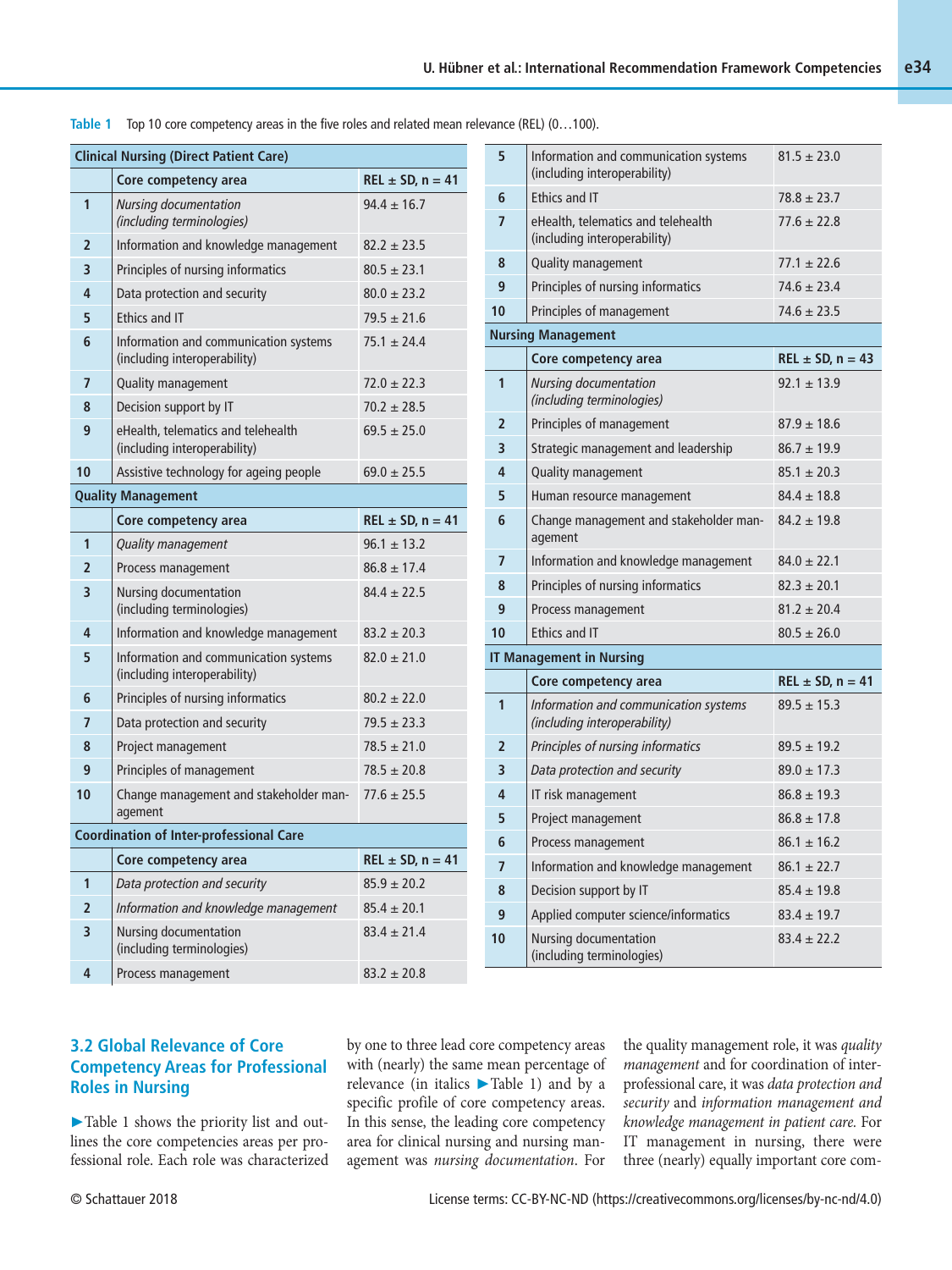**Table 1** Top 10 core competency areas in the five roles and related mean relevance (REL) (0…100).

| Core competency area<br>$REL \pm SD$ , n = 41<br>1<br>$94.4 \pm 16.7$<br><b>Nursing documentation</b><br>(including terminologies)<br>$\overline{2}$<br>Information and knowledge management<br>$82.2 \pm 23.5$<br>Principles of nursing informatics<br>3<br>$80.5 \pm 23.1$<br>4<br>Data protection and security<br>$80.0 \pm 23.2$<br><b>Ethics and IT</b><br>5<br>$79.5 \pm 21.6$<br>Information and communication systems<br>6<br>$75.1 \pm 24.4$<br>(including interoperability)<br>7<br>Quality management<br>$72.0 \pm 22.3$<br>Decision support by IT<br>$70.2 \pm 28.5$<br>8<br>eHealth, telematics and telehealth<br>$69.5 \pm 25.0$<br>9<br>(including interoperability)<br>Assistive technology for ageing people<br>10<br>$69.0 \pm 25.5$<br><b>Quality Management</b><br>Core competency area<br>$REL \pm SD$ , n = 41<br>1<br>$96.1 + 13.2$<br><b>Quality management</b><br>$\overline{2}$<br>Process management<br>$86.8 \pm 17.4$<br>Nursing documentation<br>3<br>$84.4 \pm 22.5$<br>(including terminologies)<br>Information and knowledge management<br>4<br>$83.2 \pm 20.3$<br>5<br>Information and communication systems<br>$82.0 \pm 21.0$<br>(including interoperability)<br>Principles of nursing informatics<br>6<br>$80.2 \pm 22.0$<br>Data protection and security<br>$79.5 \pm 23.3$<br>7<br>Project management<br>$78.5 \pm 21.0$<br>8<br>Principles of management<br>9<br>$78.5 \pm 20.8$<br>10<br>Change management and stakeholder man-<br>$77.6 + 25.5$<br>agement<br><b>Coordination of Inter-professional Care</b><br>Core competency area<br>$REL \pm SD$ , n = 41<br>1<br>Data protection and security<br>$85.9 \pm 20.2$<br>$\overline{2}$<br>Information and knowledge management<br>$85.4 \pm 20.1$<br>3<br>Nursing documentation<br>$83.4 \pm 21.4$<br>(including terminologies)<br>4<br>Process management<br>$83.2 \pm 20.8$ | <b>Clinical Nursing (Direct Patient Care)</b> |  |  |  |  |  |  |  |  |  |  |  |
|--------------------------------------------------------------------------------------------------------------------------------------------------------------------------------------------------------------------------------------------------------------------------------------------------------------------------------------------------------------------------------------------------------------------------------------------------------------------------------------------------------------------------------------------------------------------------------------------------------------------------------------------------------------------------------------------------------------------------------------------------------------------------------------------------------------------------------------------------------------------------------------------------------------------------------------------------------------------------------------------------------------------------------------------------------------------------------------------------------------------------------------------------------------------------------------------------------------------------------------------------------------------------------------------------------------------------------------------------------------------------------------------------------------------------------------------------------------------------------------------------------------------------------------------------------------------------------------------------------------------------------------------------------------------------------------------------------------------------------------------------------------------------------------------------------------------------------------------------------------------------|-----------------------------------------------|--|--|--|--|--|--|--|--|--|--|--|
|                                                                                                                                                                                                                                                                                                                                                                                                                                                                                                                                                                                                                                                                                                                                                                                                                                                                                                                                                                                                                                                                                                                                                                                                                                                                                                                                                                                                                                                                                                                                                                                                                                                                                                                                                                                                                                                                          |                                               |  |  |  |  |  |  |  |  |  |  |  |
|                                                                                                                                                                                                                                                                                                                                                                                                                                                                                                                                                                                                                                                                                                                                                                                                                                                                                                                                                                                                                                                                                                                                                                                                                                                                                                                                                                                                                                                                                                                                                                                                                                                                                                                                                                                                                                                                          |                                               |  |  |  |  |  |  |  |  |  |  |  |
|                                                                                                                                                                                                                                                                                                                                                                                                                                                                                                                                                                                                                                                                                                                                                                                                                                                                                                                                                                                                                                                                                                                                                                                                                                                                                                                                                                                                                                                                                                                                                                                                                                                                                                                                                                                                                                                                          |                                               |  |  |  |  |  |  |  |  |  |  |  |
|                                                                                                                                                                                                                                                                                                                                                                                                                                                                                                                                                                                                                                                                                                                                                                                                                                                                                                                                                                                                                                                                                                                                                                                                                                                                                                                                                                                                                                                                                                                                                                                                                                                                                                                                                                                                                                                                          |                                               |  |  |  |  |  |  |  |  |  |  |  |
|                                                                                                                                                                                                                                                                                                                                                                                                                                                                                                                                                                                                                                                                                                                                                                                                                                                                                                                                                                                                                                                                                                                                                                                                                                                                                                                                                                                                                                                                                                                                                                                                                                                                                                                                                                                                                                                                          |                                               |  |  |  |  |  |  |  |  |  |  |  |
|                                                                                                                                                                                                                                                                                                                                                                                                                                                                                                                                                                                                                                                                                                                                                                                                                                                                                                                                                                                                                                                                                                                                                                                                                                                                                                                                                                                                                                                                                                                                                                                                                                                                                                                                                                                                                                                                          |                                               |  |  |  |  |  |  |  |  |  |  |  |
|                                                                                                                                                                                                                                                                                                                                                                                                                                                                                                                                                                                                                                                                                                                                                                                                                                                                                                                                                                                                                                                                                                                                                                                                                                                                                                                                                                                                                                                                                                                                                                                                                                                                                                                                                                                                                                                                          |                                               |  |  |  |  |  |  |  |  |  |  |  |
|                                                                                                                                                                                                                                                                                                                                                                                                                                                                                                                                                                                                                                                                                                                                                                                                                                                                                                                                                                                                                                                                                                                                                                                                                                                                                                                                                                                                                                                                                                                                                                                                                                                                                                                                                                                                                                                                          |                                               |  |  |  |  |  |  |  |  |  |  |  |
|                                                                                                                                                                                                                                                                                                                                                                                                                                                                                                                                                                                                                                                                                                                                                                                                                                                                                                                                                                                                                                                                                                                                                                                                                                                                                                                                                                                                                                                                                                                                                                                                                                                                                                                                                                                                                                                                          |                                               |  |  |  |  |  |  |  |  |  |  |  |
|                                                                                                                                                                                                                                                                                                                                                                                                                                                                                                                                                                                                                                                                                                                                                                                                                                                                                                                                                                                                                                                                                                                                                                                                                                                                                                                                                                                                                                                                                                                                                                                                                                                                                                                                                                                                                                                                          |                                               |  |  |  |  |  |  |  |  |  |  |  |
|                                                                                                                                                                                                                                                                                                                                                                                                                                                                                                                                                                                                                                                                                                                                                                                                                                                                                                                                                                                                                                                                                                                                                                                                                                                                                                                                                                                                                                                                                                                                                                                                                                                                                                                                                                                                                                                                          |                                               |  |  |  |  |  |  |  |  |  |  |  |
|                                                                                                                                                                                                                                                                                                                                                                                                                                                                                                                                                                                                                                                                                                                                                                                                                                                                                                                                                                                                                                                                                                                                                                                                                                                                                                                                                                                                                                                                                                                                                                                                                                                                                                                                                                                                                                                                          |                                               |  |  |  |  |  |  |  |  |  |  |  |
|                                                                                                                                                                                                                                                                                                                                                                                                                                                                                                                                                                                                                                                                                                                                                                                                                                                                                                                                                                                                                                                                                                                                                                                                                                                                                                                                                                                                                                                                                                                                                                                                                                                                                                                                                                                                                                                                          |                                               |  |  |  |  |  |  |  |  |  |  |  |
|                                                                                                                                                                                                                                                                                                                                                                                                                                                                                                                                                                                                                                                                                                                                                                                                                                                                                                                                                                                                                                                                                                                                                                                                                                                                                                                                                                                                                                                                                                                                                                                                                                                                                                                                                                                                                                                                          |                                               |  |  |  |  |  |  |  |  |  |  |  |
|                                                                                                                                                                                                                                                                                                                                                                                                                                                                                                                                                                                                                                                                                                                                                                                                                                                                                                                                                                                                                                                                                                                                                                                                                                                                                                                                                                                                                                                                                                                                                                                                                                                                                                                                                                                                                                                                          |                                               |  |  |  |  |  |  |  |  |  |  |  |
|                                                                                                                                                                                                                                                                                                                                                                                                                                                                                                                                                                                                                                                                                                                                                                                                                                                                                                                                                                                                                                                                                                                                                                                                                                                                                                                                                                                                                                                                                                                                                                                                                                                                                                                                                                                                                                                                          |                                               |  |  |  |  |  |  |  |  |  |  |  |
|                                                                                                                                                                                                                                                                                                                                                                                                                                                                                                                                                                                                                                                                                                                                                                                                                                                                                                                                                                                                                                                                                                                                                                                                                                                                                                                                                                                                                                                                                                                                                                                                                                                                                                                                                                                                                                                                          |                                               |  |  |  |  |  |  |  |  |  |  |  |
|                                                                                                                                                                                                                                                                                                                                                                                                                                                                                                                                                                                                                                                                                                                                                                                                                                                                                                                                                                                                                                                                                                                                                                                                                                                                                                                                                                                                                                                                                                                                                                                                                                                                                                                                                                                                                                                                          |                                               |  |  |  |  |  |  |  |  |  |  |  |
|                                                                                                                                                                                                                                                                                                                                                                                                                                                                                                                                                                                                                                                                                                                                                                                                                                                                                                                                                                                                                                                                                                                                                                                                                                                                                                                                                                                                                                                                                                                                                                                                                                                                                                                                                                                                                                                                          |                                               |  |  |  |  |  |  |  |  |  |  |  |
|                                                                                                                                                                                                                                                                                                                                                                                                                                                                                                                                                                                                                                                                                                                                                                                                                                                                                                                                                                                                                                                                                                                                                                                                                                                                                                                                                                                                                                                                                                                                                                                                                                                                                                                                                                                                                                                                          |                                               |  |  |  |  |  |  |  |  |  |  |  |
|                                                                                                                                                                                                                                                                                                                                                                                                                                                                                                                                                                                                                                                                                                                                                                                                                                                                                                                                                                                                                                                                                                                                                                                                                                                                                                                                                                                                                                                                                                                                                                                                                                                                                                                                                                                                                                                                          |                                               |  |  |  |  |  |  |  |  |  |  |  |
|                                                                                                                                                                                                                                                                                                                                                                                                                                                                                                                                                                                                                                                                                                                                                                                                                                                                                                                                                                                                                                                                                                                                                                                                                                                                                                                                                                                                                                                                                                                                                                                                                                                                                                                                                                                                                                                                          |                                               |  |  |  |  |  |  |  |  |  |  |  |
|                                                                                                                                                                                                                                                                                                                                                                                                                                                                                                                                                                                                                                                                                                                                                                                                                                                                                                                                                                                                                                                                                                                                                                                                                                                                                                                                                                                                                                                                                                                                                                                                                                                                                                                                                                                                                                                                          |                                               |  |  |  |  |  |  |  |  |  |  |  |
|                                                                                                                                                                                                                                                                                                                                                                                                                                                                                                                                                                                                                                                                                                                                                                                                                                                                                                                                                                                                                                                                                                                                                                                                                                                                                                                                                                                                                                                                                                                                                                                                                                                                                                                                                                                                                                                                          |                                               |  |  |  |  |  |  |  |  |  |  |  |
|                                                                                                                                                                                                                                                                                                                                                                                                                                                                                                                                                                                                                                                                                                                                                                                                                                                                                                                                                                                                                                                                                                                                                                                                                                                                                                                                                                                                                                                                                                                                                                                                                                                                                                                                                                                                                                                                          |                                               |  |  |  |  |  |  |  |  |  |  |  |
|                                                                                                                                                                                                                                                                                                                                                                                                                                                                                                                                                                                                                                                                                                                                                                                                                                                                                                                                                                                                                                                                                                                                                                                                                                                                                                                                                                                                                                                                                                                                                                                                                                                                                                                                                                                                                                                                          |                                               |  |  |  |  |  |  |  |  |  |  |  |
|                                                                                                                                                                                                                                                                                                                                                                                                                                                                                                                                                                                                                                                                                                                                                                                                                                                                                                                                                                                                                                                                                                                                                                                                                                                                                                                                                                                                                                                                                                                                                                                                                                                                                                                                                                                                                                                                          |                                               |  |  |  |  |  |  |  |  |  |  |  |
|                                                                                                                                                                                                                                                                                                                                                                                                                                                                                                                                                                                                                                                                                                                                                                                                                                                                                                                                                                                                                                                                                                                                                                                                                                                                                                                                                                                                                                                                                                                                                                                                                                                                                                                                                                                                                                                                          |                                               |  |  |  |  |  |  |  |  |  |  |  |
|                                                                                                                                                                                                                                                                                                                                                                                                                                                                                                                                                                                                                                                                                                                                                                                                                                                                                                                                                                                                                                                                                                                                                                                                                                                                                                                                                                                                                                                                                                                                                                                                                                                                                                                                                                                                                                                                          |                                               |  |  |  |  |  |  |  |  |  |  |  |

| 5              | Information and communication systems<br>(including interoperability) | $81.5 \pm 23.0$       |  |  |  |  |  |  |  |  |  |  |
|----------------|-----------------------------------------------------------------------|-----------------------|--|--|--|--|--|--|--|--|--|--|
| 6              | <b>Ethics and IT</b>                                                  | $78.8 \pm 23.7$       |  |  |  |  |  |  |  |  |  |  |
| $\overline{7}$ | eHealth, telematics and telehealth<br>(including interoperability)    | $77.6 \pm 22.8$       |  |  |  |  |  |  |  |  |  |  |
| 8              | Quality management                                                    | $77.1 \pm 22.6$       |  |  |  |  |  |  |  |  |  |  |
| 9              | Principles of nursing informatics                                     | $74.6 \pm 23.4$       |  |  |  |  |  |  |  |  |  |  |
| 10             | Principles of management                                              | $74.6 \pm 23.5$       |  |  |  |  |  |  |  |  |  |  |
|                | <b>Nursing Management</b>                                             |                       |  |  |  |  |  |  |  |  |  |  |
|                | Core competency area                                                  | $REL \pm SD$ , n = 43 |  |  |  |  |  |  |  |  |  |  |
| 1              | <b>Nursing documentation</b><br>(including terminologies)             | $92.1 \pm 13.9$       |  |  |  |  |  |  |  |  |  |  |
| $\overline{2}$ | Principles of management                                              | $87.9 \pm 18.6$       |  |  |  |  |  |  |  |  |  |  |
| 3              | Strategic management and leadership                                   | $86.7 \pm 19.9$       |  |  |  |  |  |  |  |  |  |  |
| 4              | <b>Quality management</b>                                             | $85.1 \pm 20.3$       |  |  |  |  |  |  |  |  |  |  |
| 5              | Human resource management                                             | $84.4 \pm 18.8$       |  |  |  |  |  |  |  |  |  |  |
| 6              | Change management and stakeholder man-<br>agement                     | $84.2 \pm 19.8$       |  |  |  |  |  |  |  |  |  |  |
| 7              | Information and knowledge management                                  | $84.0 \pm 22.1$       |  |  |  |  |  |  |  |  |  |  |
| 8              | Principles of nursing informatics                                     | $82.3 \pm 20.1$       |  |  |  |  |  |  |  |  |  |  |
| 9              | Process management                                                    | $81.2 \pm 20.4$       |  |  |  |  |  |  |  |  |  |  |
| 10             | <b>Ethics and IT</b>                                                  | $80.5 \pm 26.0$       |  |  |  |  |  |  |  |  |  |  |
|                | <b>IT Management in Nursing</b>                                       |                       |  |  |  |  |  |  |  |  |  |  |
|                | Core competency area                                                  | $REL \pm SD$ , n = 41 |  |  |  |  |  |  |  |  |  |  |
| 1              | Information and communication systems<br>(including interoperability) | $89.5 \pm 15.3$       |  |  |  |  |  |  |  |  |  |  |
| $\overline{2}$ | Principles of nursing informatics                                     | $89.5 \pm 19.2$       |  |  |  |  |  |  |  |  |  |  |
| 3              | Data protection and security                                          | $89.0 \pm 17.3$       |  |  |  |  |  |  |  |  |  |  |
| 4              | IT risk management                                                    | $86.8 \pm 19.3$       |  |  |  |  |  |  |  |  |  |  |
| 5              | Project management                                                    | $86.8 \pm 17.8$       |  |  |  |  |  |  |  |  |  |  |
| 6              | Process management                                                    | $86.1 \pm 16.2$       |  |  |  |  |  |  |  |  |  |  |
| 7              | Information and knowledge management                                  | $86.1 \pm 22.7$       |  |  |  |  |  |  |  |  |  |  |
| 8              | Decision support by IT                                                | $85.4 \pm 19.8$       |  |  |  |  |  |  |  |  |  |  |
| 9              | Applied computer science/informatics                                  | $83.4 \pm 19.7$       |  |  |  |  |  |  |  |  |  |  |
| 10             | Nursing documentation<br>(including terminologies)                    | $83.4 \pm 22.2$       |  |  |  |  |  |  |  |  |  |  |

## **3.2 Global Relevance of Core Competency Areas for Professional Roles in Nursing**

▶ Table 1 shows the priority list and outlines the core competencies areas per professional role. Each role was characterized by one to three lead core competency areas with (nearly) the same mean percentage of relevance (in italics ▶ Table 1) and by a specific profile of core competency areas. In this sense, the leading core competency area for clinical nursing and nursing management was *nursing documentation*. For

the quality management role, it was *quality management* and for coordination of interprofessional care, it was *data protection and security* and *information management and knowledge management in patient care.* For IT management in nursing, there were three (nearly) equally important core com-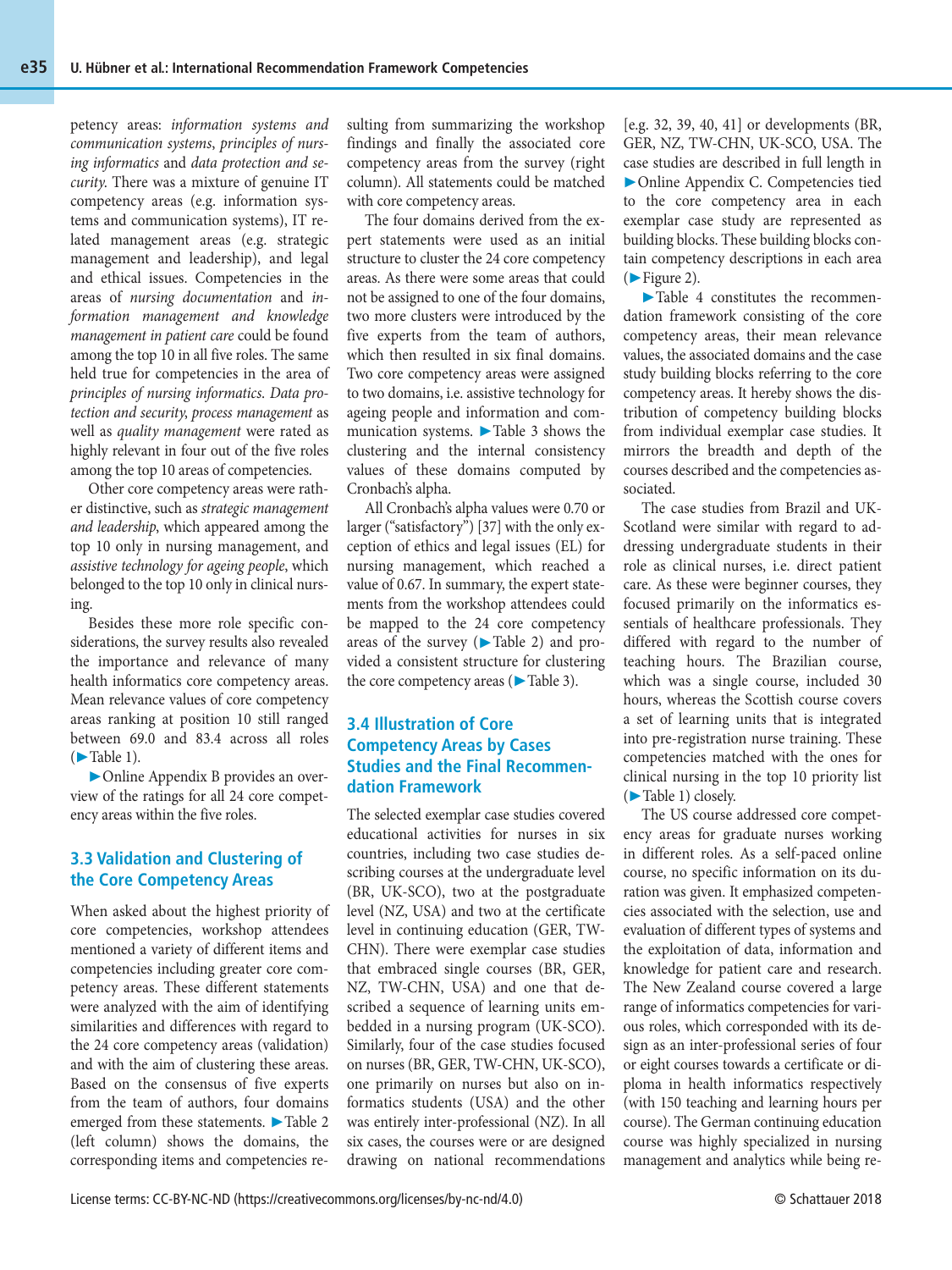petency areas: *information* systems and satisfactory and satisfactory and satisfactory and formation systems for the same serve that procession and so competency areas from the interms and deproduced in the competency are *communication systems*, *principles of nursing informatics* and *data protection and security*. There was a mixture of genuine IT competency areas (e.g. information systems and communication systems), IT related management areas (e.g. strategic management and leadership), and legal and ethical issues. Competencies in the areas of *nursing documentation* and *information management and knowledge management in patient care* could be found among the top 10 in all five roles. The same held true for competencies in the area of *principles of nursing informatics*. *Data protection and security*, *process management* as well as *quality management* were rated as highly relevant in four out of the five roles among the top 10 areas of competencies.

Other core competency areas were rather distinctive, such as *strategic management and leadership*, which appeared among the top 10 only in nursing management, and *assistive technology for ageing people*, which belonged to the top 10 only in clinical nursing.

Besides these more role specific considerations, the survey results also revealed the importance and relevance of many health informatics core competency areas. Mean relevance values of core competency areas ranking at position 10 still ranged between 69.0 and 83.4 across all roles  $\blacktriangleright$  Table 1).

▶ Online Appendix B provides an overview of the ratings for all 24 core competency areas within the five roles.

## **3.3 Validation and Clustering of the Core Competency Areas**

When asked about the highest priority of core competencies, workshop attendees mentioned a variety of different items and competencies including greater core competency areas. These different statements were analyzed with the aim of identifying similarities and differences with regard to the 24 core competency areas (validation) and with the aim of clustering these areas. Based on the consensus of five experts from the team of authors, four domains emerged from these statements. ► Table 2 (left column) shows the domains, the corresponding items and competencies resulting from summarizing the workshop findings and finally the associated core competency areas from the survey (right column). All statements could be matched with core competency areas.

The four domains derived from the expert statements were used as an initial structure to cluster the 24 core competency areas. As there were some areas that could not be assigned to one of the four domains, two more clusters were introduced by the five experts from the team of authors, which then resulted in six final domains. Two core competency areas were assigned to two domains, i.e. assistive technology for ageing people and information and communication systems. ▶ Table 3 shows the clustering and the internal consistency values of these domains computed by Cronbach's alpha.

All Cronbach's alpha values were 0.70 or larger ("satisfactory") [37] with the only exception of ethics and legal issues (EL) for nursing management, which reached a value of 0.67. In summary, the expert statements from the workshop attendees could be mapped to the 24 core competency areas of the survey ( $\blacktriangleright$  Table 2) and provided a consistent structure for clustering the core competency areas ( $\blacktriangleright$  Table 3).

## **3.4 Illustration of Core Competency Areas by Cases Studies and the Final Recommendation Framework**

The selected exemplar case studies covered educational activities for nurses in six countries, including two case studies describing courses at the undergraduate level (BR, UK-SCO), two at the postgraduate level (NZ, USA) and two at the certificate level in continuing education (GER, TW-CHN). There were exemplar case studies that embraced single courses (BR, GER, NZ, TW-CHN, USA) and one that described a sequence of learning units embedded in a nursing program (UK-SCO). Similarly, four of the case studies focused on nurses (BR, GER, TW-CHN, UK-SCO), one primarily on nurses but also on informatics students (USA) and the other was entirely inter-professional (NZ). In all six cases, the courses were or are designed drawing on national recommendations [e.g. 32, 39, 40, 41] or developments (BR, GER, NZ, TW-CHN, UK-SCO, USA. The case studies are described in full length in ▶Online Appendix C. Competencies tied to the core competency area in each exemplar case study are represented as building blocks. These building blocks contain competency descriptions in each area (▶ Figure 2).

▶ Table 4 constitutes the recommendation framework consisting of the core competency areas, their mean relevance values, the associated domains and the case study building blocks referring to the core competency areas. It hereby shows the distribution of competency building blocks from individual exemplar case studies. It mirrors the breadth and depth of the courses described and the competencies associated.

The case studies from Brazil and UK-Scotland were similar with regard to addressing undergraduate students in their role as clinical nurses, i.e. direct patient care. As these were beginner courses, they focused primarily on the informatics essentials of healthcare professionals. They differed with regard to the number of teaching hours. The Brazilian course, which was a single course, included 30 hours, whereas the Scottish course covers a set of learning units that is integrated into pre-registration nurse training. These competencies matched with the ones for clinical nursing in the top 10 priority list (▶ Table 1) closely.

The US course addressed core competency areas for graduate nurses working in different roles. As a self-paced online course, no specific information on its duration was given. It emphasized competencies associated with the selection, use and evaluation of different types of systems and the exploitation of data, information and knowledge for patient care and research. The New Zealand course covered a large range of informatics competencies for various roles, which corresponded with its design as an inter-professional series of four or eight courses towards a certificate or diploma in health informatics respectively (with 150 teaching and learning hours per course). The German continuing education course was highly specialized in nursing management and analytics while being re-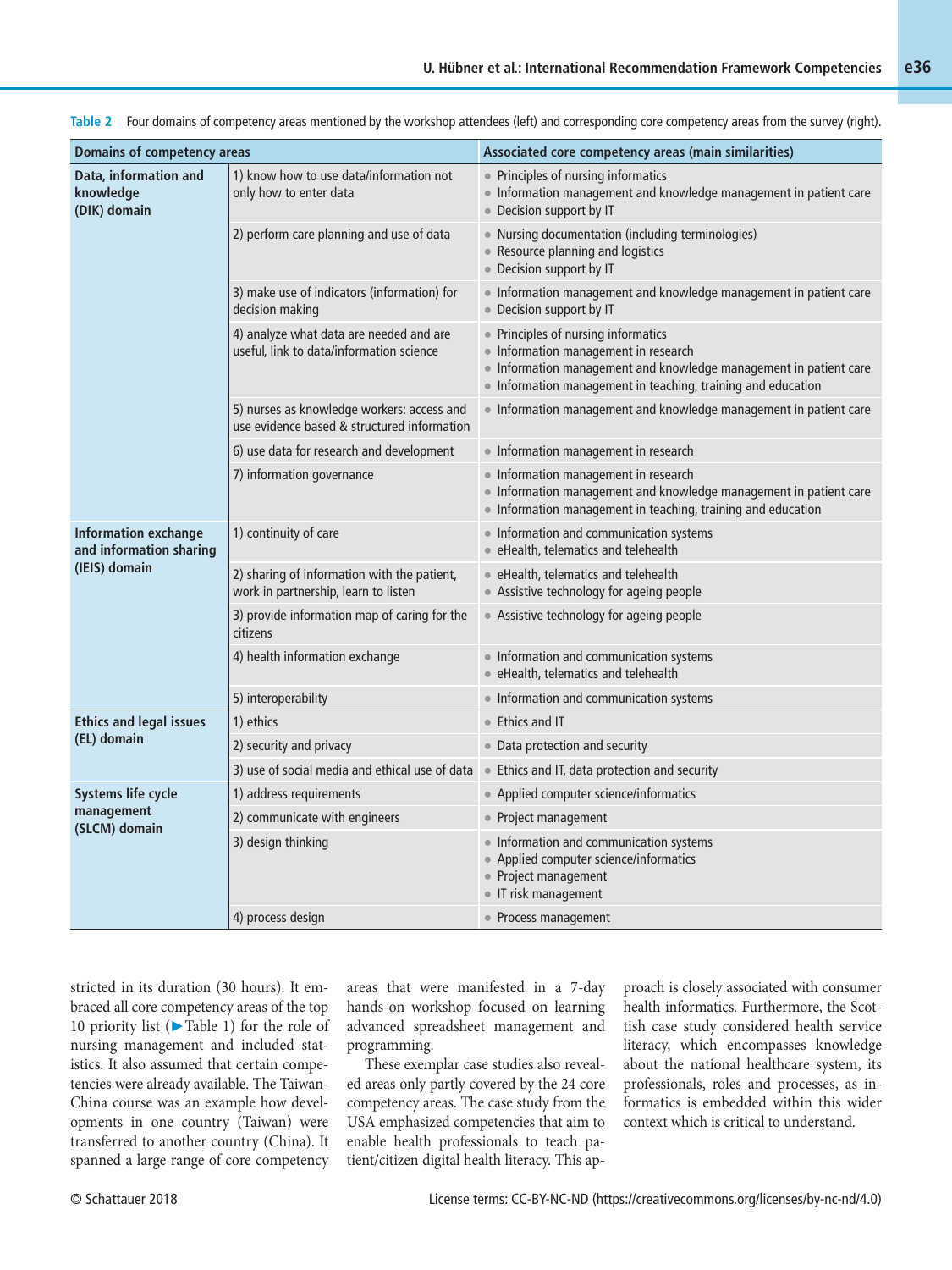| <b>Domains of competency areas</b>                     |                                                                                           | Associated core competency areas (main similarities)                                                                                                                                                           |  |  |  |  |  |
|--------------------------------------------------------|-------------------------------------------------------------------------------------------|----------------------------------------------------------------------------------------------------------------------------------------------------------------------------------------------------------------|--|--|--|--|--|
| Data, information and<br>knowledge<br>(DIK) domain     | 1) know how to use data/information not<br>only how to enter data                         | • Principles of nursing informatics<br>Information management and knowledge management in patient care<br>• Decision support by IT                                                                             |  |  |  |  |  |
|                                                        | 2) perform care planning and use of data                                                  | • Nursing documentation (including terminologies)<br>• Resource planning and logistics<br>• Decision support by IT                                                                                             |  |  |  |  |  |
|                                                        | 3) make use of indicators (information) for<br>decision making                            | Information management and knowledge management in patient care<br>• Decision support by IT                                                                                                                    |  |  |  |  |  |
|                                                        | 4) analyze what data are needed and are<br>useful, link to data/information science       | • Principles of nursing informatics<br>· Information management in research<br>Information management and knowledge management in patient care<br>• Information management in teaching, training and education |  |  |  |  |  |
|                                                        | 5) nurses as knowledge workers: access and<br>use evidence based & structured information | • Information management and knowledge management in patient care                                                                                                                                              |  |  |  |  |  |
|                                                        | 6) use data for research and development                                                  | • Information management in research                                                                                                                                                                           |  |  |  |  |  |
|                                                        | 7) information governance                                                                 | • Information management in research<br>Information management and knowledge management in patient care<br>• Information management in teaching, training and education                                        |  |  |  |  |  |
| <b>Information exchange</b><br>and information sharing | 1) continuity of care                                                                     | • Information and communication systems<br>· eHealth, telematics and telehealth                                                                                                                                |  |  |  |  |  |
| (IEIS) domain                                          | 2) sharing of information with the patient,<br>work in partnership, learn to listen       | · eHealth, telematics and telehealth<br>• Assistive technology for ageing people                                                                                                                               |  |  |  |  |  |
|                                                        | 3) provide information map of caring for the<br>citizens                                  | • Assistive technology for ageing people                                                                                                                                                                       |  |  |  |  |  |
|                                                        | 4) health information exchange                                                            | • Information and communication systems<br>· eHealth, telematics and telehealth                                                                                                                                |  |  |  |  |  |
|                                                        | 5) interoperability                                                                       | • Information and communication systems                                                                                                                                                                        |  |  |  |  |  |
| <b>Ethics and legal issues</b>                         | 1) ethics                                                                                 | • Ethics and IT                                                                                                                                                                                                |  |  |  |  |  |
| (EL) domain                                            | 2) security and privacy                                                                   | • Data protection and security                                                                                                                                                                                 |  |  |  |  |  |
|                                                        | 3) use of social media and ethical use of data                                            | • Ethics and IT, data protection and security                                                                                                                                                                  |  |  |  |  |  |
| Systems life cycle                                     | 1) address requirements                                                                   | • Applied computer science/informatics                                                                                                                                                                         |  |  |  |  |  |
| management<br>(SLCM) domain                            | 2) communicate with engineers                                                             | • Project management                                                                                                                                                                                           |  |  |  |  |  |
|                                                        | 3) design thinking                                                                        | • Information and communication systems<br>• Applied computer science/informatics<br>• Project management<br>• IT risk management                                                                              |  |  |  |  |  |
|                                                        | 4) process design                                                                         | • Process management                                                                                                                                                                                           |  |  |  |  |  |

**Table 2** Four domains of competency areas mentioned by the workshop attendees (left) and corresponding core competency areas from the survey (right).

stricted in its duration (30 hours). It embraced all core competency areas of the top 10 priority list (▶ Table 1) for the role of nursing management and included statistics. It also assumed that certain competencies were already available. The Taiwan-China course was an example how developments in one country (Taiwan) were transferred to another country (China). It spanned a large range of core competency

areas that were manifested in a 7-day hands-on workshop focused on learning advanced spreadsheet management and programming.

These exemplar case studies also revealed areas only partly covered by the 24 core competency areas. The case study from the USA emphasized competencies that aim to enable health professionals to teach patient/citizen digital health literacy. This approach is closely associated with consumer health informatics. Furthermore, the Scottish case study considered health service literacy, which encompasses knowledge about the national healthcare system, its professionals, roles and processes, as informatics is embedded within this wider context which is critical to understand.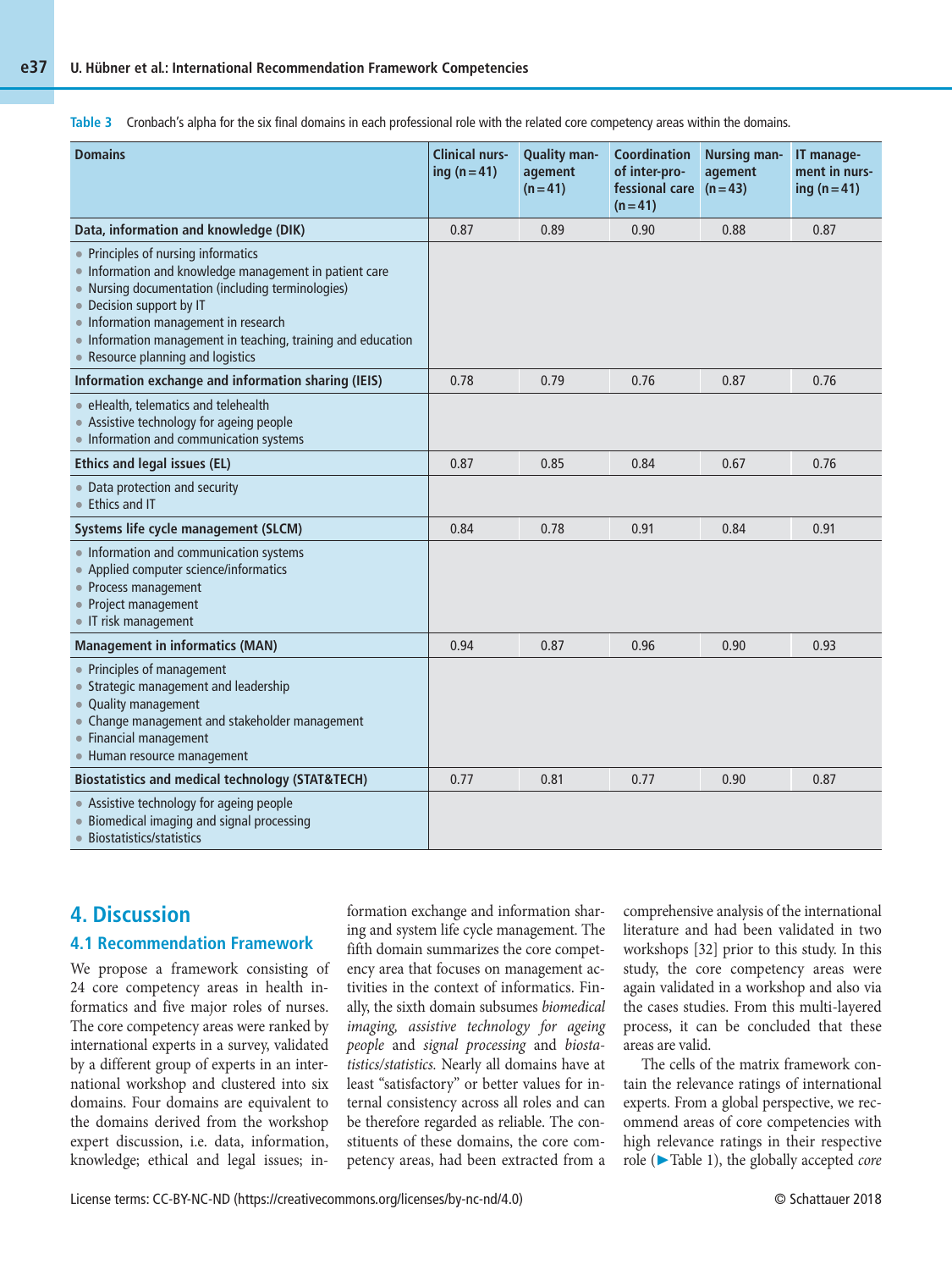**Domains Data, information and knowledge (DIK) •** Principles of nursing informatics **•** Information and knowledge management in patient care **•** Nursing documentation (including terminologies) **•** Decision support by IT **•** Information management in research **•** Information management in teaching, training and education **•** Resource planning and logistics **Information exchange and information sharing (IEIS) •** eHealth, telematics and telehealth **•** Assistive technology for ageing people **•** Information and communication systems **Ethics and legal issues (EL) •** Data protection and security **•** Ethics and IT **Systems life cycle management (SLCM) •** Information and communication systems **•** Applied computer science/informatics **•** Process management **•** Project management **•** IT risk management **Management in informatics (MAN) •** Principles of management **•** Strategic management and leadership **•** Quality management **•** Change management and stakeholder management **•** Financial management **•** Human resource management **Biostatistics and medical technology (STAT&TECH) •** Assistive technology for ageing people **•** Biomedical imaging and signal processing **•** Biostatistics/statistics **Clinical nursing (n = 41)** 0.87 0.78 0.87 0.84 0.94 0.77 **Quality management**  $(n = 41)$ 0.89 0.79 0.85 0.78 0.87 0.81 **Coordination of inter-professional care (n = 43)**  $(n = 41)$ 0.90 0.76 0.84 0.91 0.96 0.77 **Nursing management** 0.88 0.87 0.67 0.84 0.90 0.90 **IT management in nursing (n = 41)** 0.87 0.76 0.76 0.91 0.93 0.87

**Table 3** Cronbach's alpha for the six final domains in each professional role with the related core competency areas within the domains.

### **4.1 Recommendation Framework**

**4. Discussion** formation exchange and information and the summarized the propose a framework onsisting of ency area that focuses on mate that corresponse a framework consisting of ency area that focuses on mate and forema We propose a framework consisting of 24 core competency areas in health informatics and five major roles of nurses. The core competency areas were ranked by international experts in a survey, validated by a different group of experts in an international workshop and clustered into six domains. Four domains are equivalent to the domains derived from the workshop expert discussion, i.e. data, information, knowledge; ethical and legal issues; in-

formation exchange and information sharing and system life cycle management. The fifth domain summarizes the core competency area that focuses on management activities in the context of informatics. Finally, the sixth domain subsumes *biomedical imaging, assistive technology for ageing people* and *signal processing* and *biostatistics/statistics.* Nearly all domains have at least "satisfactory" or better values for internal consistency across all roles and can be therefore regarded as reliable. The constituents of these domains, the core competency areas, had been extracted from a

comprehensive analysis of the international literature and had been validated in two workshops [32] prior to this study. In this study, the core competency areas were again validated in a workshop and also via the cases studies. From this multi-layered process, it can be concluded that these areas are valid.

The cells of the matrix framework contain the relevance ratings of international experts. From a global perspective, we recommend areas of core competencies with high relevance ratings in their respective role (▶ Table 1), the globally accepted *core*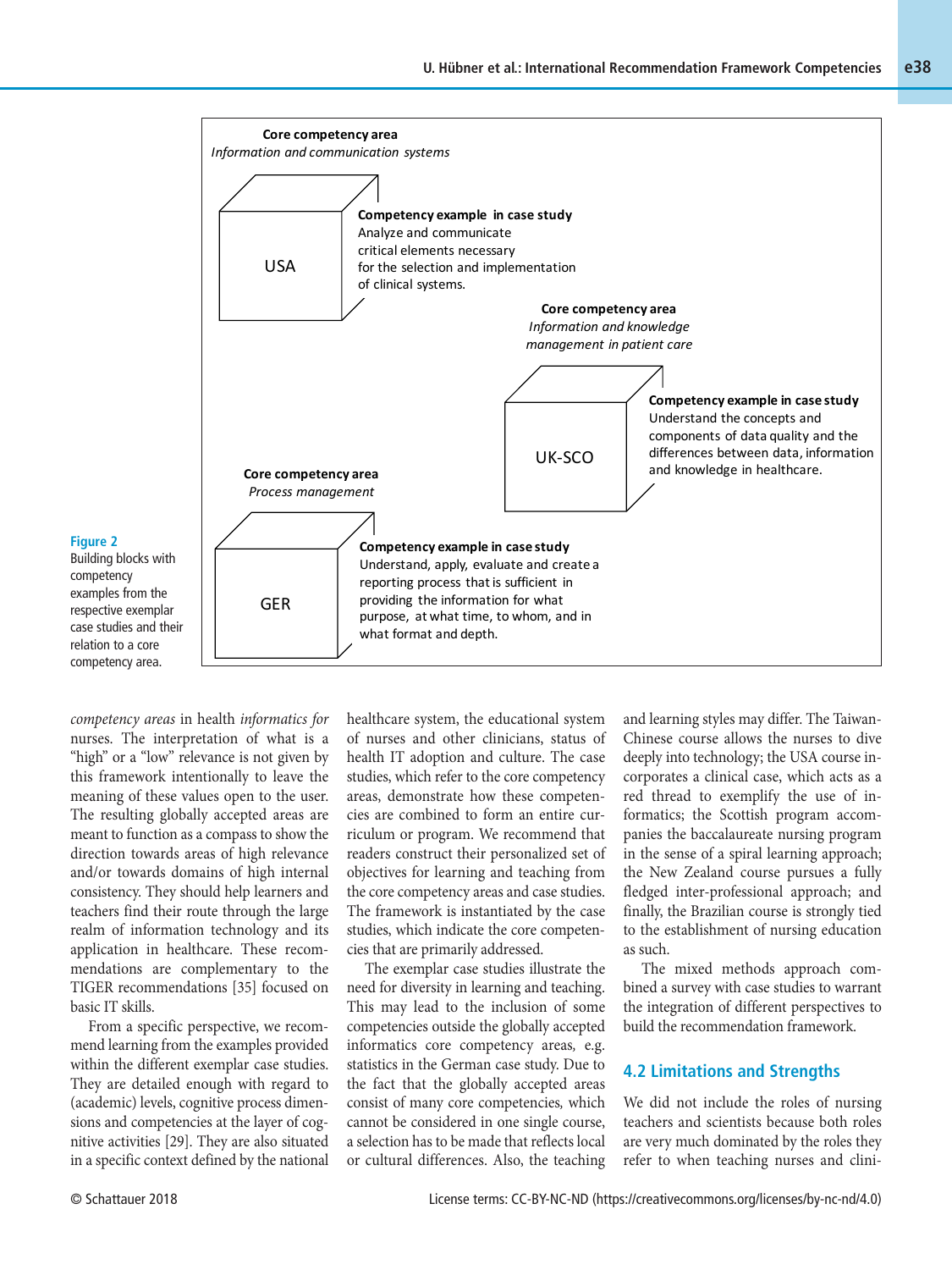

*competency areas* in health *informatics for* nurses. The interpretation of what is a "high" or a "low" relevance is not given by this framework intentionally to leave the meaning of these values open to the user. The resulting globally accepted areas are meant to function as a compass to show the direction towards areas of high relevance and/or towards domains of high internal consistency. They should help learners and teachers find their route through the large realm of information technology and its application in healthcare. These recommendations are complementary to the TIGER recommendations [35] focused on basic IT skills.

From a specific perspective, we recommend learning from the examples provided within the different exemplar case studies. They are detailed enough with regard to (academic) levels, cognitive process dimensions and competencies at the layer of cognitive activities [29]. They are also situated in a specific context defined by the national healthcare system, the educational system of nurses and other clinicians, status of health IT adoption and culture. The case studies, which refer to the core competency areas, demonstrate how these competencies are combined to form an entire curriculum or program. We recommend that readers construct their personalized set of objectives for learning and teaching from the core competency areas and case studies. The framework is instantiated by the case studies, which indicate the core competencies that are primarily addressed.

The exemplar case studies illustrate the need for diversity in learning and teaching. This may lead to the inclusion of some competencies outside the globally accepted informatics core competency areas*,* e.g. statistics in the German case study. Due to the fact that the globally accepted areas consist of many core competencies*,* which cannot be considered in one single course, a selection has to be made that reflects local or cultural differences. Also, the teaching

and learning styles may differ. The Taiwan-Chinese course allows the nurses to dive deeply into technology; the USA course incorporates a clinical case, which acts as a red thread to exemplify the use of informatics; the Scottish program accompanies the baccalaureate nursing program in the sense of a spiral learning approach; the New Zealand course pursues a fully fledged inter-professional approach; and finally, the Brazilian course is strongly tied to the establishment of nursing education as such.

The mixed methods approach combined a survey with case studies to warrant the integration of different perspectives to build the recommendation framework.

## **4.2 Limitations and Strengths**

We did not include the roles of nursing teachers and scientists because both roles are very much dominated by the roles they refer to when teaching nurses and clini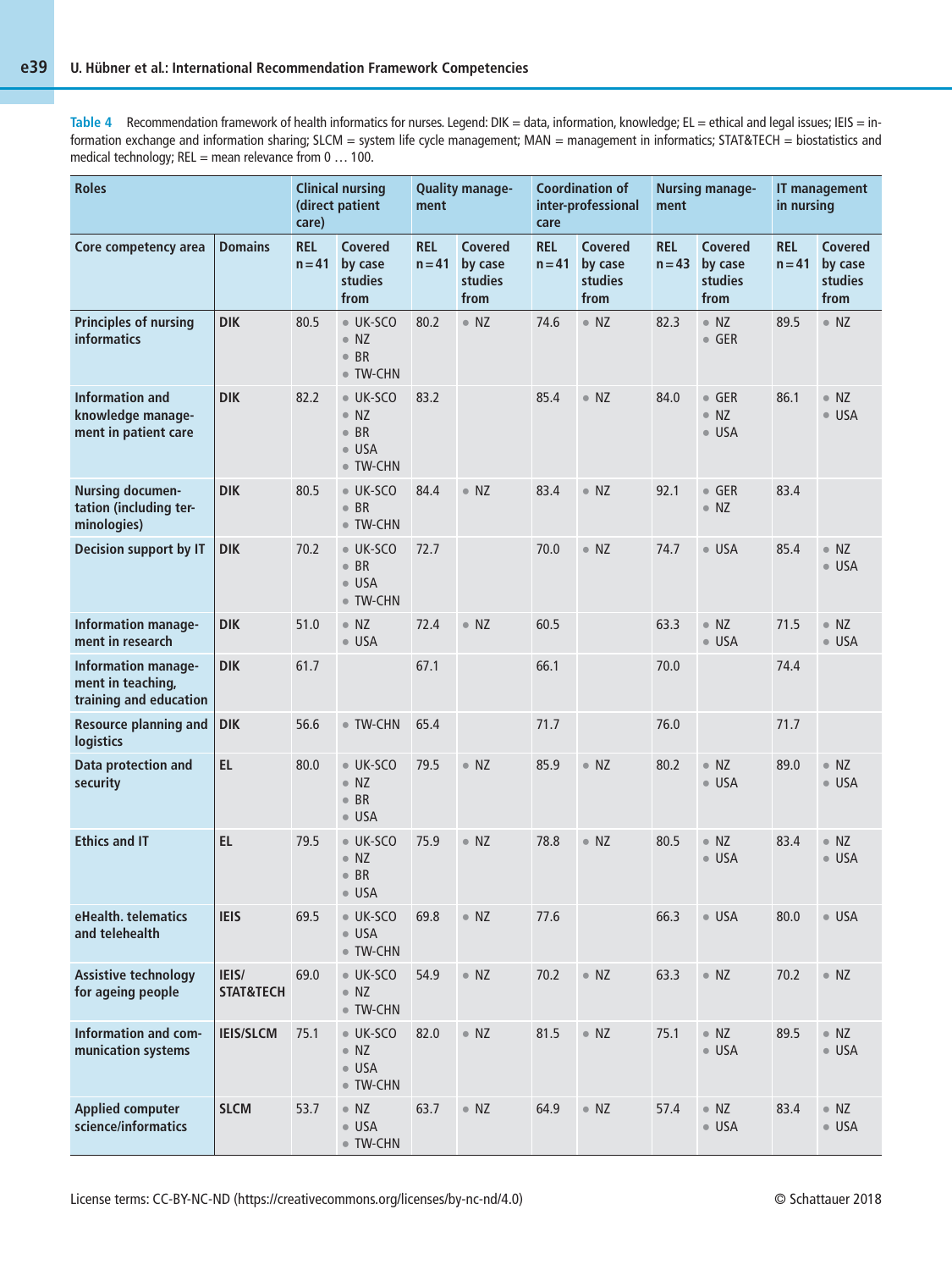Table 4 Recommendation framework of health informatics for nurses. Legend: DIK = data, information, knowledge; EL = ethical and legal issues; IEIS = information exchange and information sharing; SLCM = system life cycle management; MAN = management in informatics; STAT&TECH = biostatistics and medical technology;  $REL =$  mean relevance from  $0 \ldots 100$ .

| <b>Roles</b>                                                        |                    | <b>Clinical nursing</b><br>(direct patient<br>care) |                                                                       | <b>Quality manage-</b><br>ment |                                              | <b>Coordination of</b><br>inter-professional<br>care |                                       | <b>Nursing manage-</b><br>ment |                                                | IT management<br>in nursing |                                              |
|---------------------------------------------------------------------|--------------------|-----------------------------------------------------|-----------------------------------------------------------------------|--------------------------------|----------------------------------------------|------------------------------------------------------|---------------------------------------|--------------------------------|------------------------------------------------|-----------------------------|----------------------------------------------|
| Core competency area                                                | <b>Domains</b>     | <b>REL</b><br>$n = 41$                              | <b>Covered</b><br>by case<br>studies<br>from                          | <b>REL</b><br>$n = 41$         | <b>Covered</b><br>by case<br>studies<br>from | <b>REL</b><br>$n = 41$                               | Covered<br>by case<br>studies<br>from | <b>REL</b><br>$n = 43$         | Covered<br>by case<br>studies<br>from          | <b>REL</b><br>$n = 41$      | <b>Covered</b><br>by case<br>studies<br>from |
| <b>Principles of nursing</b><br><b>informatics</b>                  | <b>DIK</b>         | 80.5                                                | · UK-SCO<br>$\bullet$ NZ<br>$\bullet$ BR<br>● TW-CHN                  | 80.2                           | $\bullet$ NZ                                 | 74.6                                                 | $\bullet$ NZ                          | 82.3                           | $\bullet$ NZ<br>$\bullet$ GER                  | 89.5                        | $\bullet$ NZ                                 |
| <b>Information and</b><br>knowledge manage-<br>ment in patient care | <b>DIK</b>         | 82.2                                                | · UK-SCO<br>$\bullet$ NZ<br>$\bullet$ BR<br>$\bullet$ USA<br>● TW-CHN | 83.2                           |                                              | 85.4                                                 | $\bullet$ NZ                          | 84.0                           | $\bullet$ GER<br>$\bullet$ NZ<br>$\bullet$ USA | 86.1                        | $\bullet$ NZ<br>· USA                        |
| <b>Nursing documen-</b><br>tation (including ter-<br>minologies)    | <b>DIK</b>         | 80.5                                                | · UK-SCO<br>$\bullet$ BR<br>● TW-CHN                                  | 84.4                           | $\bullet$ NZ                                 | 83.4                                                 | $\bullet$ NZ                          | 92.1                           | $\bullet$ GER<br>$\bullet$ NZ                  | 83.4                        |                                              |
| Decision support by IT                                              | <b>DIK</b>         | 70.2                                                | $\bullet$ UK-SCO<br>$\bullet$ BR<br>$\bullet$ USA<br>● TW-CHN         | 72.7                           |                                              | 70.0                                                 | $\bullet$ NZ                          | 74.7                           | $\bullet$ USA                                  | 85.4                        | $\bullet$ NZ<br>· USA                        |
| Information manage-<br>ment in research                             | <b>DIK</b>         | 51.0                                                | $\bullet$ NZ<br>$\bullet$ USA                                         | 72.4                           | $\bullet$ NZ                                 | 60.5                                                 |                                       | 63.3                           | $\bullet$ NZ<br>$\bullet$ USA                  | 71.5                        | <b>NZ</b><br>$\bullet$<br>$\bullet$ USA      |
| Information manage-<br>ment in teaching,<br>training and education  | <b>DIK</b>         | 61.7                                                |                                                                       | 67.1                           |                                              | 66.1                                                 |                                       | 70.0                           |                                                | 74.4                        |                                              |
| <b>Resource planning and</b><br>logistics                           | <b>DIK</b>         | 56.6                                                | ● TW-CHN                                                              | 65.4                           |                                              | 71.7                                                 |                                       | 76.0                           |                                                | 71.7                        |                                              |
| Data protection and<br>security                                     | EL.                | 80.0                                                | · UK-SCO<br>$\bullet$ NZ<br><b>BR</b><br>$\bullet$<br>$\bullet$ USA   | 79.5                           | $\bullet$ NZ                                 | 85.9                                                 | $\bullet$ NZ                          | 80.2                           | $\bullet$ NZ<br>$\bullet$ USA                  | 89.0                        | $\bullet$ NZ<br>· USA                        |
| <b>Ethics and IT</b>                                                | EL.                | 79.5                                                | · UK-SCO<br>$\bullet$ NZ<br>$\bullet$ BR<br>$\bullet$ USA             | 75.9                           | $\bullet$ NZ                                 | 78.8                                                 | $\bullet$ NZ                          | 80.5                           | $\bullet$ NZ<br>$\bullet$ USA                  | 83.4                        | $\bullet$ NZ<br>· USA                        |
| eHealth. telematics<br>and telehealth                               | <b>IEIS</b>        | 69.5                                                | · UK-SCO<br>$\bullet$ USA<br>● TW-CHN                                 | 69.8                           | $\bullet$ NZ                                 | 77.6                                                 |                                       | 66.3                           | $\bullet$ USA                                  | 80.0                        | $\bullet$ USA                                |
| <b>Assistive technology</b><br>for ageing people                    | IEIS/<br>STAT&TECH | 69.0                                                | · UK-SCO<br>$\bullet$ NZ<br>● TW-CHN                                  | 54.9                           | $\bullet$ NZ                                 | 70.2                                                 | $\bullet$ NZ                          | 63.3                           | $\bullet$ NZ                                   | 70.2                        | $\bullet$ NZ                                 |
| Information and com-<br>munication systems                          | <b>IEIS/SLCM</b>   | 75.1                                                | · UK-SCO<br>$\bullet$ NZ<br>$\bullet$ USA<br>● TW-CHN                 | 82.0                           | $\bullet$ NZ                                 | 81.5                                                 | $\bullet$ NZ                          | 75.1                           | $\bullet$ NZ<br>$\bullet$ USA                  | 89.5                        | $\bullet$ NZ<br>$\bullet$ USA                |
| <b>Applied computer</b><br>science/informatics                      | <b>SLCM</b>        | 53.7                                                | $\bullet$ NZ<br>$\bullet$ USA<br>● TW-CHN                             | 63.7                           | $\bullet$ NZ                                 | 64.9                                                 | $\bullet$ NZ                          | 57.4                           | $\bullet$ NZ<br>$\bullet$ USA                  | 83.4                        | $\bullet$ NZ<br>$\bullet$ USA                |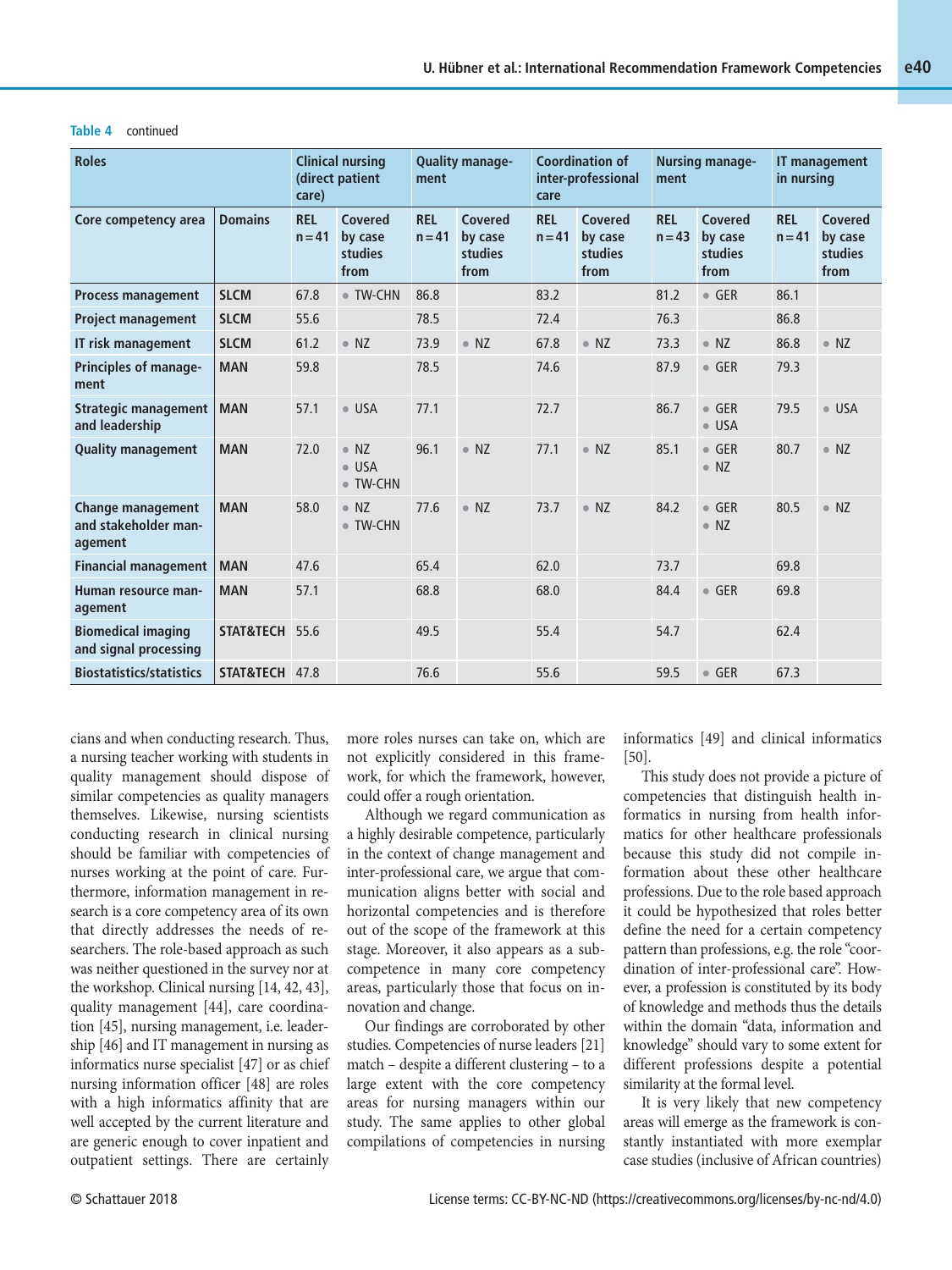| <b>Roles</b>                                         |                | <b>Clinical nursing</b><br>(direct patient<br>care) |                                              | <b>Quality manage-</b><br>ment |                                       | <b>Coordination of</b><br>inter-professional<br>care |                                       | <b>Nursing manage-</b><br>ment |                                       | IT management<br>in nursing |                                       |
|------------------------------------------------------|----------------|-----------------------------------------------------|----------------------------------------------|--------------------------------|---------------------------------------|------------------------------------------------------|---------------------------------------|--------------------------------|---------------------------------------|-----------------------------|---------------------------------------|
| Core competency area                                 | <b>Domains</b> | <b>REL</b><br>$n = 41$                              | Covered<br>by case<br><b>studies</b><br>from | <b>REL</b><br>$n = 41$         | Covered<br>by case<br>studies<br>from | <b>REL</b><br>$n = 41$                               | Covered<br>by case<br>studies<br>from | <b>REL</b><br>$n = 43$         | Covered<br>by case<br>studies<br>from | <b>REL</b><br>$n = 41$      | Covered<br>by case<br>studies<br>from |
| <b>Process management</b>                            | <b>SLCM</b>    | 67.8                                                | • TW-CHN                                     | 86.8                           |                                       | 83.2                                                 |                                       | 81.2                           | $\bullet$ GER                         | 86.1                        |                                       |
| <b>Project management</b>                            | <b>SLCM</b>    | 55.6                                                |                                              | 78.5                           |                                       | 72.4                                                 |                                       | 76.3                           |                                       | 86.8                        |                                       |
| IT risk management                                   | <b>SLCM</b>    | 61.2                                                | $\bullet$ NZ                                 | 73.9                           | $\bullet$ NZ                          | 67.8                                                 | $\bullet$ NZ                          | 73.3                           | $\bullet$ NZ                          | 86.8                        | $\bullet$ NZ                          |
| <b>Principles of manage-</b><br>ment                 | <b>MAN</b>     | 59.8                                                |                                              | 78.5                           |                                       | 74.6                                                 |                                       | 87.9                           | $\bullet$ GER                         | 79.3                        |                                       |
| <b>Strategic management</b><br>and leadership        | <b>MAN</b>     | 57.1                                                | $\bullet$ USA                                | 77.1                           |                                       | 72.7                                                 |                                       | 86.7                           | $\bullet$ GER<br>$\bullet$ USA        | 79.5                        | $\bullet$ USA                         |
| <b>Quality management</b>                            | <b>MAN</b>     | 72.0                                                | $\bullet$ NZ<br>$\bullet$ USA<br>• TW-CHN    | 96.1                           | $\bullet$ NZ                          | 77.1                                                 | $\bullet$ NZ                          | 85.1                           | $\bullet$ GER<br>$\bullet$ NZ         | 80.7                        | $\bullet$ NZ                          |
| Change management<br>and stakeholder man-<br>agement | <b>MAN</b>     | 58.0                                                | $\bullet$ NZ<br>• TW-CHN                     | 77.6                           | $\bullet$ NZ                          | 73.7                                                 | $\bullet$ NZ                          | 84.2                           | $\bullet$ GER<br>$\bullet$ NZ         | 80.5                        | $\bullet$ NZ                          |
| <b>Financial management</b>                          | <b>MAN</b>     | 47.6                                                |                                              | 65.4                           |                                       | 62.0                                                 |                                       | 73.7                           |                                       | 69.8                        |                                       |
| Human resource man-<br>agement                       | <b>MAN</b>     | 57.1                                                |                                              | 68.8                           |                                       | 68.0                                                 |                                       | 84.4                           | $\bullet$ GER                         | 69.8                        |                                       |
| <b>Biomedical imaging</b><br>and signal processing   | STAT&TECH      | 55.6                                                |                                              | 49.5                           |                                       | 55.4                                                 |                                       | 54.7                           |                                       | 62.4                        |                                       |
| <b>Biostatistics/statistics</b>                      | STAT&TECH 47.8 |                                                     |                                              | 76.6                           |                                       | 55.6                                                 |                                       | 59.5                           | $\bullet$ GER                         | 67.3                        |                                       |

#### **Table 4** continued

cians and when conducting research. Thus, a nursing teacher working with students in quality management should dispose of similar competencies as quality managers themselves. Likewise, nursing scientists conducting research in clinical nursing should be familiar with competencies of nurses working at the point of care. Furthermore, information management in research is a core competency area of its own that directly addresses the needs of researchers. The role-based approach as such was neither questioned in the survey nor at the workshop. Clinical nursing [14, 42, 43], quality management [44], care coordination [45], nursing management, i.e. leadership [46] and IT management in nursing as informatics nurse specialist [47] or as chief nursing information officer [48] are roles with a high informatics affinity that are well accepted by the current literature and are generic enough to cover inpatient and outpatient settings. There are certainly

more roles nurses can take on, which are not explicitly considered in this framework, for which the framework, however, could offer a rough orientation.

Although we regard communication as a highly desirable competence, particularly in the context of change management and inter-professional care, we argue that communication aligns better with social and horizontal competencies and is therefore out of the scope of the framework at this stage. Moreover, it also appears as a subcompetence in many core competency areas, particularly those that focus on innovation and change.

Our findings are corroborated by other studies. Competencies of nurse leaders [21] match – despite a different clustering – to a large extent with the core competency areas for nursing managers within our study. The same applies to other global compilations of competencies in nursing

informatics [49] and clinical informatics [50].

This study does not provide a picture of competencies that distinguish health informatics in nursing from health informatics for other healthcare professionals because this study did not compile information about these other healthcare professions. Due to the role based approach it could be hypothesized that roles better define the need for a certain competency pattern than professions, e.g. the role "coordination of inter-professional care". However, a profession is constituted by its body of knowledge and methods thus the details within the domain "data, information and knowledge" should vary to some extent for different professions despite a potential similarity at the formal level.

It is very likely that new competency areas will emerge as the framework is constantly instantiated with more exemplar case studies (inclusive of African countries)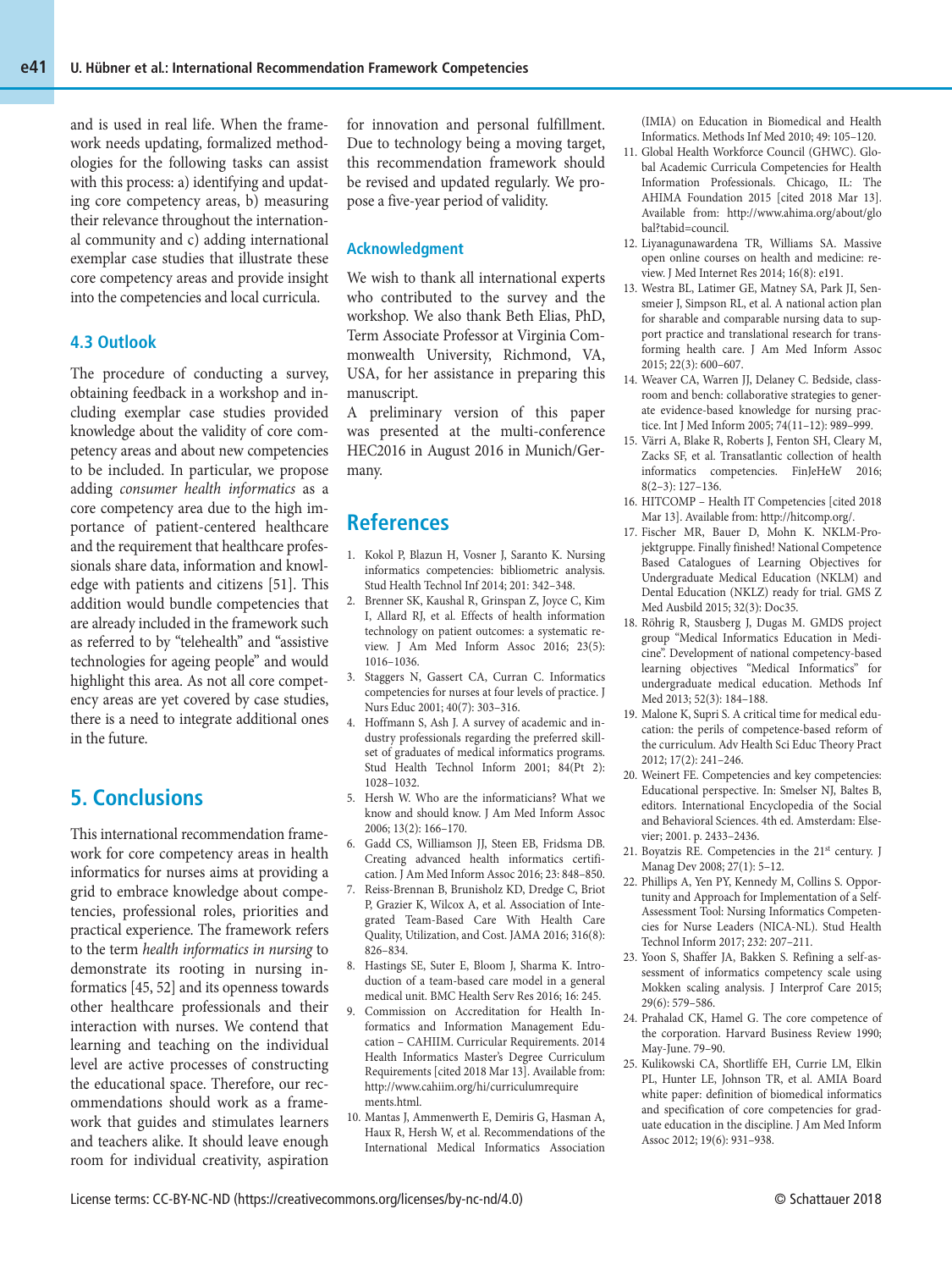and is used in real life. When the framework needs updating, formalized methodologies for the following tasks can assist with this process: a) identifying and updating core competency areas, b) measuring their relevance throughout the international community and c) adding international exemplar case studies that illustrate these core competency areas and provide insight into the competencies and local curricula.

### **4.3 Outlook**

The procedure of conducting a survey, obtaining feedback in a workshop and including exemplar case studies provided knowledge about the validity of core competency areas and about new competencies to be included. In particular, we propose adding *consumer health informatics* as a core competency area due to the high importance of patient-centered healthcare and the requirement that healthcare professionals share data, information and knowledge with patients and citizens [51]. This addition would bundle competencies that are already included in the framework such as referred to by "telehealth" and "assistive technologies for ageing people" and would highlight this area. As not all core competency areas are yet covered by case studies, there is a need to integrate additional ones in the future.

## **5. Conclusions**

This international recommendation framework for core competency areas in health informatics for nurses aims at providing a grid to embrace knowledge about competencies, professional roles, priorities and practical experience. The framework refers to the term *health informatics in nursing* to demonstrate its rooting in nursing informatics [45, 52] and its openness towards other healthcare professionals and their interaction with nurses. We contend that learning and teaching on the individual level are active processes of constructing the educational space. Therefore, our recommendations should work as a framework that guides and stimulates learners and teachers alike. It should leave enough room for individual creativity, aspiration

for innovation and personal fulfillment. Due to technology being a moving target, this recommendation framework should be revised and updated regularly. We propose a five-year period of validity.

### **Acknowledgment**

We wish to thank all international experts who contributed to the survey and the workshop. We also thank Beth Elias, PhD, Term Associate Professor at Virginia Commonwealth University, Richmond, VA, USA, for her assistance in preparing this manuscript.

A preliminary version of this paper was presented at the multi-conference HEC2016 in August 2016 in Munich/Germany.

## **References**

- 1. Kokol P, Blazun H, Vosner J, Saranto K. Nursing informatics competencies: bibliometric analysis. Stud Health Technol Inf 2014; 201: 342–348.
- 2. Brenner SK, Kaushal R, Grinspan Z, Joyce C, Kim I, Allard RJ, et al. Effects of health information technology on patient outcomes: a systematic review. J Am Med Inform Assoc 2016; 23(5): 1016–1036.
- 3. Staggers N, Gassert CA, Curran C. Informatics competencies for nurses at four levels of practice. J Nurs Educ 2001; 40(7): 303–316.
- 4. Hoffmann S, Ash J. A survey of academic and industry professionals regarding the preferred skillset of graduates of medical informatics programs. Stud Health Technol Inform 2001; 84(Pt 2): 1028–1032.
- 5. Hersh W. Who are the informaticians? What we know and should know. J Am Med Inform Assoc 2006; 13(2): 166–170.
- 6. Gadd CS, Williamson JJ, Steen EB, Fridsma DB. Creating advanced health informatics certification. J Am Med Inform Assoc 2016; 23: 848–850.
- 7. Reiss-Brennan B, Brunisholz KD, Dredge C, Briot P, Grazier K, Wilcox A, et al. Association of Integrated Team-Based Care With Health Care Quality, Utilization, and Cost. JAMA 2016; 316(8): 826–834.
- 8. Hastings SE, Suter E, Bloom J, Sharma K. Introduction of a team-based care model in a general medical unit. BMC Health Serv Res 2016; 16: 245.
- 9. Commission on Accreditation for Health Informatics and Information Management Education – CAHIIM. Curricular Requirements. 2014 Health Informatics Master's Degree Curriculum Requirements [cited 2018 Mar 13]. Available from: http://www.cahiim.org/hi/curriculumrequire ments.html.
- 10. Mantas J, Ammenwerth E, Demiris G, Hasman A, Haux R, Hersh W, et al. Recommendations of the International Medical Informatics Association

(IMIA) on Education in Biomedical and Health Informatics. Methods Inf Med 2010; 49: 105–120.

- 11. Global Health Workforce Council (GHWC). Global Academic Curricula Competencies for Health Information Professionals. Chicago, IL: The AHIMA Foundation 2015 [cited 2018 Mar 13]. Available from: http://www.ahima.org/about/glo bal?tabid=council.
- 12. Liyanagunawardena TR, Williams SA. Massive open online courses on health and medicine: review. J Med Internet Res 2014; 16(8): e191.
- 13. Westra BL, Latimer GE, Matney SA, Park JI, Sensmeier J, Simpson RL, et al. A national action plan for sharable and comparable nursing data to support practice and translational research for transforming health care. J Am Med Inform Assoc 2015; 22(3): 600–607.
- 14. Weaver CA, Warren JJ, Delaney C. Bedside, classroom and bench: collaborative strategies to generate evidence-based knowledge for nursing practice. Int J Med Inform 2005; 74(11–12): 989–999.
- 15. Värri A, Blake R, Roberts J, Fenton SH, Cleary M, Zacks SF, et al. Transatlantic collection of health informatics competencies. FinJeHeW 2016; 8(2–3): 127–136.
- 16. HITCOMP Health IT Competencies [cited 2018 Mar 13]. Available from: http://hitcomp.org/.
- 17. Fischer MR, Bauer D, Mohn K. NKLM-Projektgruppe. Finally finished! National Competence Based Catalogues of Learning Objectives for Undergraduate Medical Education (NKLM) and Dental Education (NKLZ) ready for trial. GMS Z Med Ausbild 2015; 32(3): Doc35.
- 18. Röhrig R, Stausberg J, Dugas M. GMDS project group "Medical Informatics Education in Medicine". Development of national competency-based learning objectives "Medical Informatics" for undergraduate medical education. Methods Inf Med 2013; 52(3): 184–188.
- 19. Malone K, Supri S. A critical time for medical education: the perils of competence-based reform of the curriculum. Adv Health Sci Educ Theory Pract 2012; 17(2): 241–246.
- 20. Weinert FE. Competencies and key competencies: Educational perspective. In: Smelser NJ, Baltes B, editors. International Encyclopedia of the Social and Behavioral Sciences. 4th ed. Amsterdam: Elsevier; 2001. p. 2433–2436.
- 21. Boyatzis RE. Competencies in the 21<sup>st</sup> century. J Manag Dev 2008; 27(1): 5–12.
- 22. Phillips A, Yen PY, Kennedy M, Collins S. Opportunity and Approach for Implementation of a Self-Assessment Tool: Nursing Informatics Competencies for Nurse Leaders (NICA-NL). Stud Health Technol Inform 2017; 232: 207–211.
- 23. Yoon S, Shaffer JA, Bakken S. Refining a self-assessment of informatics competency scale using Mokken scaling analysis. J Interprof Care 2015; 29(6): 579–586.
- 24. Prahalad CK, Hamel G. The core competence of the corporation. Harvard Business Review 1990; May-June. 79–90.
- 25. Kulikowski CA, Shortliffe EH, Currie LM, Elkin PL, Hunter LE, Johnson TR, et al. AMIA Board white paper: definition of biomedical informatics and specification of core competencies for graduate education in the discipline. J Am Med Inform Assoc 2012; 19(6): 931–938.